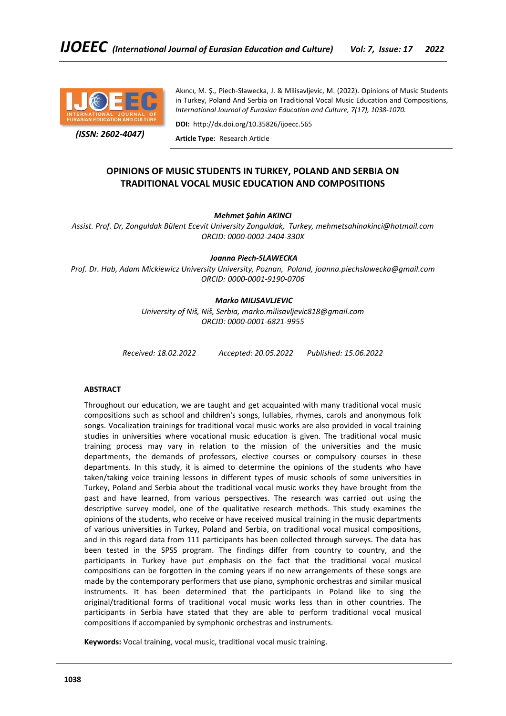

 *(ISSN: 2602-4047)*

Akıncı, M. Ş., Piech-Sławecka, J. & Milisavljevic, M. (2022). Opinions of Music Students in Turkey, Poland And Serbia on Traditional Vocal Music Education and Compositions, *International Journal of Eurasian Education and Culture, 7(17), 1038-1070.*

**DOI:** http://dx.doi.org/10.35826/ijoecc.565

**Article Type**: Research Article

# **OPINIONS OF MUSIC STUDENTS IN TURKEY, POLAND AND SERBIA ON TRADITIONAL VOCAL MUSIC EDUCATION AND COMPOSITIONS**

## *Mehmet Şahin AKINCI*

*Assist. Prof. Dr, Zonguldak Bülent Ecevit University Zonguldak, Turkey, mehmetsahinakinci@hotmail.com ORCID: 0000-0002-2404-330X*

*Joanna Piech-SLAWECKA*

*Prof. Dr. Hab, Adam Mickiewicz University University, Poznan, Poland, joanna.piechslawecka@gmail.com ORCID: 0000-0001-9190-0706*

## *Marko MILISAVLJEVIC*

*University of Niš, Niš, Serbia, marko.milisavljevic818@gmail.com ORCID: 0000-0001-6821-9955*

*Received: 18.02.2022 Accepted: 20.05.2022 Published: 15.06.2022*

## **ABSTRACT**

Throughout our education, we are taught and get acquainted with many traditional vocal music compositions such as school and children's songs, lullabies, rhymes, carols and anonymous folk songs. Vocalization trainings for traditional vocal music works are also provided in vocal training studies in universities where vocational music education is given. The traditional vocal music training process may vary in relation to the mission of the universities and the music departments, the demands of professors, elective courses or compulsory courses in these departments. In this study, it is aimed to determine the opinions of the students who have taken/taking voice training lessons in different types of music schools of some universities in Turkey, Poland and Serbia about the traditional vocal music works they have brought from the past and have learned, from various perspectives. The research was carried out using the descriptive survey model, one of the qualitative research methods. This study examines the opinions of the students, who receive or have received musical training in the music departments of various universities in Turkey, Poland and Serbia, on traditional vocal musical compositions, and in this regard data from 111 participants has been collected through surveys. The data has been tested in the SPSS program. The findings differ from country to country, and the participants in Turkey have put emphasis on the fact that the traditional vocal musical compositions can be forgotten in the coming years if no new arrangements of these songs are made by the contemporary performers that use piano, symphonic orchestras and similar musical instruments. It has been determined that the participants in Poland like to sing the original/traditional forms of traditional vocal music works less than in other countries. The participants in Serbia have stated that they are able to perform traditional vocal musical compositions if accompanied by symphonic orchestras and instruments.

**Keywords:** Vocal training, vocal music, traditional vocal music training.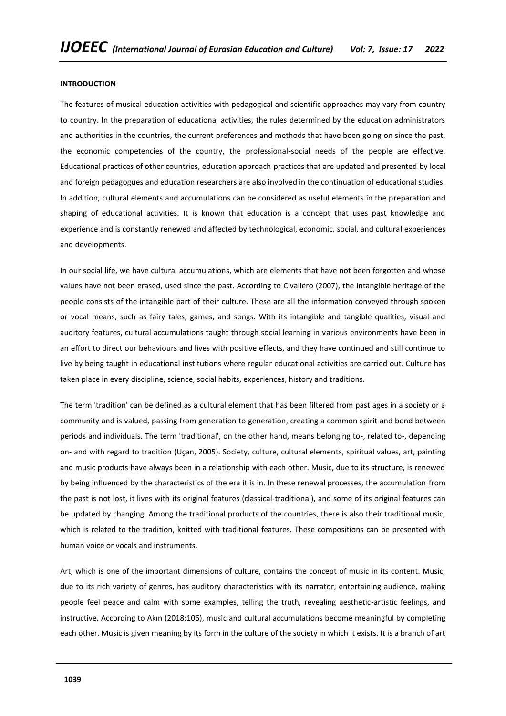### **INTRODUCTION**

The features of musical education activities with pedagogical and scientific approaches may vary from country to country. In the preparation of educational activities, the rules determined by the education administrators and authorities in the countries, the current preferences and methods that have been going on since the past, the economic competencies of the country, the professional-social needs of the people are effective. Educational practices of other countries, education approach practices that are updated and presented by local and foreign pedagogues and education researchers are also involved in the continuation of educational studies. In addition, cultural elements and accumulations can be considered as useful elements in the preparation and shaping of educational activities. It is known that education is a concept that uses past knowledge and experience and is constantly renewed and affected by technological, economic, social, and cultural experiences and developments.

In our social life, we have cultural accumulations, which are elements that have not been forgotten and whose values have not been erased, used since the past. According to Civallero (2007), the intangible heritage of the people consists of the intangible part of their culture. These are all the information conveyed through spoken or vocal means, such as fairy tales, games, and songs. With its intangible and tangible qualities, visual and auditory features, cultural accumulations taught through social learning in various environments have been in an effort to direct our behaviours and lives with positive effects, and they have continued and still continue to live by being taught in educational institutions where regular educational activities are carried out. Culture has taken place in every discipline, science, social habits, experiences, history and traditions.

The term 'tradition' can be defined as a cultural element that has been filtered from past ages in a society or a community and is valued, passing from generation to generation, creating a common spirit and bond between periods and individuals. The term 'traditional', on the other hand, means belonging to-, related to-, depending on- and with regard to tradition (Uçan, 2005). Society, culture, cultural elements, spiritual values, art, painting and music products have always been in a relationship with each other. Music, due to its structure, is renewed by being influenced by the characteristics of the era it is in. In these renewal processes, the accumulation from the past is not lost, it lives with its original features (classical-traditional), and some of its original features can be updated by changing. Among the traditional products of the countries, there is also their traditional music, which is related to the tradition, knitted with traditional features. These compositions can be presented with human voice or vocals and instruments.

Art, which is one of the important dimensions of culture, contains the concept of music in its content. Music, due to its rich variety of genres, has auditory characteristics with its narrator, entertaining audience, making people feel peace and calm with some examples, telling the truth, revealing aesthetic-artistic feelings, and instructive. According to Akın (2018:106), music and cultural accumulations become meaningful by completing each other. Music is given meaning by its form in the culture of the society in which it exists. It is a branch of art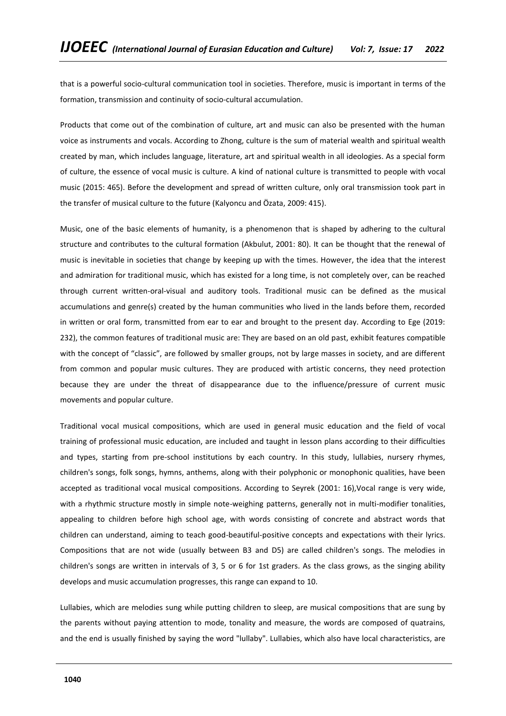that is a powerful socio-cultural communication tool in societies. Therefore, music is important in terms of the formation, transmission and continuity of socio-cultural accumulation.

Products that come out of the combination of culture, art and music can also be presented with the human voice as instruments and vocals. According to Zhong, culture is the sum of material wealth and spiritual wealth created by man, which includes language, literature, art and spiritual wealth in all ideologies. As a special form of culture, the essence of vocal music is culture. A kind of national culture is transmitted to people with vocal music (2015: 465). Before the development and spread of written culture, only oral transmission took part in the transfer of musical culture to the future (Kalyoncu and Özata, 2009: 415).

Music, one of the basic elements of humanity, is a phenomenon that is shaped by adhering to the cultural structure and contributes to the cultural formation (Akbulut, 2001: 80). It can be thought that the renewal of music is inevitable in societies that change by keeping up with the times. However, the idea that the interest and admiration for traditional music, which has existed for a long time, is not completely over, can be reached through current written-oral-visual and auditory tools. Traditional music can be defined as the musical accumulations and genre(s) created by the human communities who lived in the lands before them, recorded in written or oral form, transmitted from ear to ear and brought to the present day. According to Ege (2019: 232), the common features of traditional music are: They are based on an old past, exhibit features compatible with the concept of "classic", are followed by smaller groups, not by large masses in society, and are different from common and popular music cultures. They are produced with artistic concerns, they need protection because they are under the threat of disappearance due to the influence/pressure of current music movements and popular culture.

Traditional vocal musical compositions, which are used in general music education and the field of vocal training of professional music education, are included and taught in lesson plans according to their difficulties and types, starting from pre-school institutions by each country. In this study, lullabies, nursery rhymes, children's songs, folk songs, hymns, anthems, along with their polyphonic or monophonic qualities, have been accepted as traditional vocal musical compositions. According to Seyrek (2001: 16),Vocal range is very wide, with a rhythmic structure mostly in simple note-weighing patterns, generally not in multi-modifier tonalities, appealing to children before high school age, with words consisting of concrete and abstract words that children can understand, aiming to teach good-beautiful-positive concepts and expectations with their lyrics. Compositions that are not wide (usually between B3 and D5) are called children's songs. The melodies in children's songs are written in intervals of 3, 5 or 6 for 1st graders. As the class grows, as the singing ability develops and music accumulation progresses, this range can expand to 10.

Lullabies, which are melodies sung while putting children to sleep, are musical compositions that are sung by the parents without paying attention to mode, tonality and measure, the words are composed of quatrains, and the end is usually finished by saying the word "lullaby". Lullabies, which also have local characteristics, are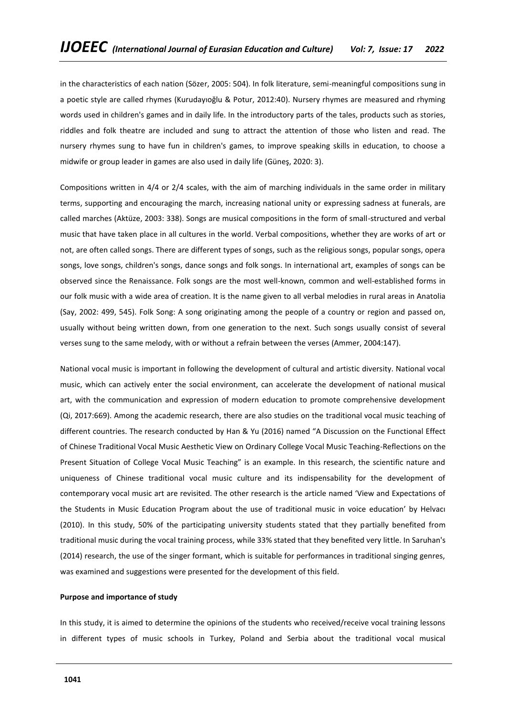in the characteristics of each nation (Sözer, 2005: 504). In folk literature, semi-meaningful compositions sung in a poetic style are called rhymes (Kurudayıoğlu & Potur, 2012:40). Nursery rhymes are measured and rhyming words used in children's games and in daily life. In the introductory parts of the tales, products such as stories, riddles and folk theatre are included and sung to attract the attention of those who listen and read. The nursery rhymes sung to have fun in children's games, to improve speaking skills in education, to choose a midwife or group leader in games are also used in daily life (Güneş, 2020: 3).

Compositions written in 4/4 or 2/4 scales, with the aim of marching individuals in the same order in military terms, supporting and encouraging the march, increasing national unity or expressing sadness at funerals, are called marches (Aktüze, 2003: 338). Songs are musical compositions in the form of small-structured and verbal music that have taken place in all cultures in the world. Verbal compositions, whether they are works of art or not, are often called songs. There are different types of songs, such as the religious songs, popular songs, opera songs, love songs, children's songs, dance songs and folk songs. In international art, examples of songs can be observed since the Renaissance. Folk songs are the most well-known, common and well-established forms in our folk music with a wide area of creation. It is the name given to all verbal melodies in rural areas in Anatolia (Say, 2002: 499, 545). Folk Song: A song originating among the people of a country or region and passed on, usually without being written down, from one generation to the next. Such songs usually consist of several verses sung to the same melody, with or without a refrain between the verses (Ammer, 2004:147).

National vocal music is important in following the development of cultural and artistic diversity. National vocal music, which can actively enter the social environment, can accelerate the development of national musical art, with the communication and expression of modern education to promote comprehensive development (Qi, 2017:669). Among the academic research, there are also studies on the traditional vocal music teaching of different countries. The research conducted by Han & Yu (2016) named "A Discussion on the Functional Effect of Chinese Traditional Vocal Music Aesthetic View on Ordinary College Vocal Music Teaching-Reflections on the Present Situation of College Vocal Music Teaching" is an example. In this research, the scientific nature and uniqueness of Chinese traditional vocal music culture and its indispensability for the development of contemporary vocal music art are revisited. The other research is the article named 'View and Expectations of the Students in Music Education Program about the use of traditional music in voice education' by Helvacı (2010). In this study, 50% of the participating university students stated that they partially benefited from traditional music during the vocal training process, while 33% stated that they benefited very little. In Saruhan's (2014) research, the use of the singer formant, which is suitable for performances in traditional singing genres, was examined and suggestions were presented for the development of this field.

### **Purpose and importance of study**

In this study, it is aimed to determine the opinions of the students who received/receive vocal training lessons in different types of music schools in Turkey, Poland and Serbia about the traditional vocal musical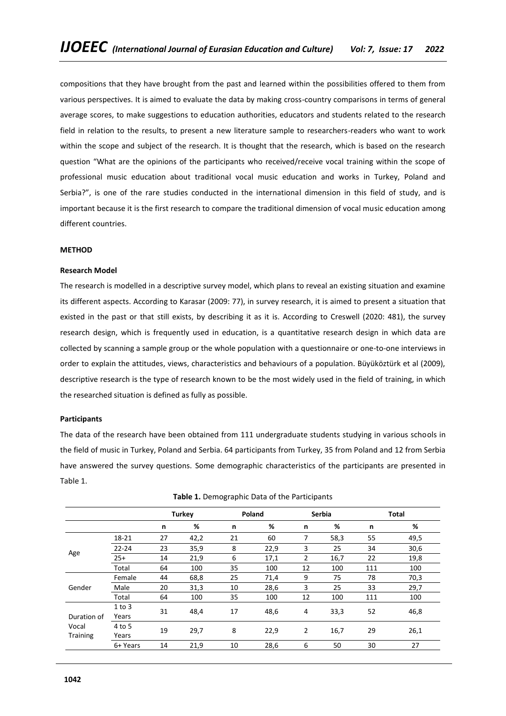compositions that they have brought from the past and learned within the possibilities offered to them from various perspectives. It is aimed to evaluate the data by making cross-country comparisons in terms of general average scores, to make suggestions to education authorities, educators and students related to the research field in relation to the results, to present a new literature sample to researchers-readers who want to work within the scope and subject of the research. It is thought that the research, which is based on the research question "What are the opinions of the participants who received/receive vocal training within the scope of professional music education about traditional vocal music education and works in Turkey, Poland and Serbia?", is one of the rare studies conducted in the international dimension in this field of study, and is important because it is the first research to compare the traditional dimension of vocal music education among different countries.

## **METHOD**

## **Research Model**

The research is modelled in a descriptive survey model, which plans to reveal an existing situation and examine its different aspects. According to Karasar (2009: 77), in survey research, it is aimed to present a situation that existed in the past or that still exists, by describing it as it is. According to Creswell (2020: 481), the survey research design, which is frequently used in education, is a quantitative research design in which data are collected by scanning a sample group or the whole population with a questionnaire or one-to-one interviews in order to explain the attitudes, views, characteristics and behaviours of a population. Büyüköztürk et al (2009), descriptive research is the type of research known to be the most widely used in the field of training, in which the researched situation is defined as fully as possible.

### **Participants**

The data of the research have been obtained from 111 undergraduate students studying in various schools in the field of music in Turkey, Poland and Serbia. 64 participants from Turkey, 35 from Poland and 12 from Serbia have answered the survey questions. Some demographic characteristics of the participants are presented in Table 1.

|            |    |          |                               |         |                        |                     |                               | <b>Total</b> |
|------------|----|----------|-------------------------------|---------|------------------------|---------------------|-------------------------------|--------------|
|            | n  | %        | n                             | %       | n                      | %                   | n                             | %            |
| 18-21      | 27 | 42,2     | 21                            | 60      | 7                      | 58,3                | 55                            | 49,5         |
| $22 - 24$  | 23 | 35,9     | 8                             | 22,9    | 3                      | 25                  | 34                            | 30,6         |
| $25+$      | 14 | 21,9     | 6                             | 17,1    | $\overline{2}$         | 16,7                | 22                            | 19,8         |
| Total      | 64 | 100      | 35                            | 100     | 12                     | 100                 | 111                           | 100          |
| Female     | 44 | 68,8     | 25                            | 71,4    | 9                      | 75                  | 78                            | 70,3         |
| Male       | 20 | 31,3     | 10                            | 28,6    | 3                      | 25                  | 33                            | 29,7         |
| Total      | 64 | 100      | 35                            | 100     | 12                     | 100                 | 111                           | 100          |
| $1$ to $3$ |    |          |                               |         |                        |                     |                               | 46,8         |
| Years      |    |          |                               |         |                        |                     |                               |              |
| 4 to 5     |    |          |                               |         |                        |                     |                               | 26,1         |
| Years      |    |          |                               |         |                        |                     |                               |              |
| 6+ Years   | 14 | 21,9     | 10                            | 28,6    | 6                      | 50                  | 30                            | 27           |
|            |    | 31<br>19 | <b>Turkey</b><br>48,4<br>29,7 | 17<br>8 | Poland<br>48,6<br>22,9 | 4<br>$\overline{2}$ | <b>Serbia</b><br>33,3<br>16,7 | 52<br>29     |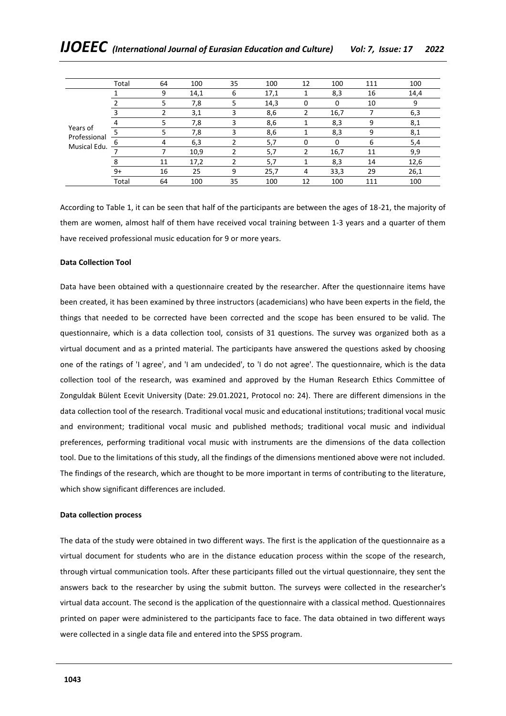|                              | Total | 64 | 100  | 35 | 100  | 12 | 100  | 111 | 100  |
|------------------------------|-------|----|------|----|------|----|------|-----|------|
|                              |       | 9  | 14,1 | 6  | 17,1 |    | 8,3  | 16  | 14,4 |
|                              |       | 5. | 7,8  | 5  | 14,3 | 0  | 0    | 10  | 9    |
|                              |       |    | 3,1  | 3  | 8,6  |    | 16,7 |     | 6,3  |
|                              |       |    | 7,8  | 3  | 8,6  |    | 8,3  | 9   | 8,1  |
| Years of                     |       | 5. | 7,8  | 3  | 8,6  |    | 8,3  | q   | 8,1  |
| Professional<br>Musical Edu. | b     | 4  | 6,3  |    | 5,7  | 0  | 0    | b   | 5,4  |
|                              |       |    | 10,9 |    | 5,7  | 2  | 16,7 | 11  | 9,9  |
|                              |       | 11 | 17,2 | ำ  | 5,7  |    | 8,3  | 14  | 12,6 |
|                              | $9+$  | 16 | 25   | 9  | 25,7 | 4  | 33,3 | 29  | 26,1 |
|                              | Total | 64 | 100  | 35 | 100  | 12 | 100  | 111 | 100  |

According to Table 1, it can be seen that half of the participants are between the ages of 18-21, the majority of them are women, almost half of them have received vocal training between 1-3 years and a quarter of them have received professional music education for 9 or more years.

## **Data Collection Tool**

Data have been obtained with a questionnaire created by the researcher. After the questionnaire items have been created, it has been examined by three instructors (academicians) who have been experts in the field, the things that needed to be corrected have been corrected and the scope has been ensured to be valid. The questionnaire, which is a data collection tool, consists of 31 questions. The survey was organized both as a virtual document and as a printed material. The participants have answered the questions asked by choosing one of the ratings of 'I agree', and 'I am undecided', to 'I do not agree'. The questionnaire, which is the data collection tool of the research, was examined and approved by the Human Research Ethics Committee of Zonguldak Bülent Ecevit University (Date: 29.01.2021, Protocol no: 24). There are different dimensions in the data collection tool of the research. Traditional vocal music and educational institutions; traditional vocal music and environment; traditional vocal music and published methods; traditional vocal music and individual preferences, performing traditional vocal music with instruments are the dimensions of the data collection tool. Due to the limitations of this study, all the findings of the dimensions mentioned above were not included. The findings of the research, which are thought to be more important in terms of contributing to the literature, which show significant differences are included.

### **Data collection process**

The data of the study were obtained in two different ways. The first is the application of the questionnaire as a virtual document for students who are in the distance education process within the scope of the research, through virtual communication tools. After these participants filled out the virtual questionnaire, they sent the answers back to the researcher by using the submit button. The surveys were collected in the researcher's virtual data account. The second is the application of the questionnaire with a classical method. Questionnaires printed on paper were administered to the participants face to face. The data obtained in two different ways were collected in a single data file and entered into the SPSS program.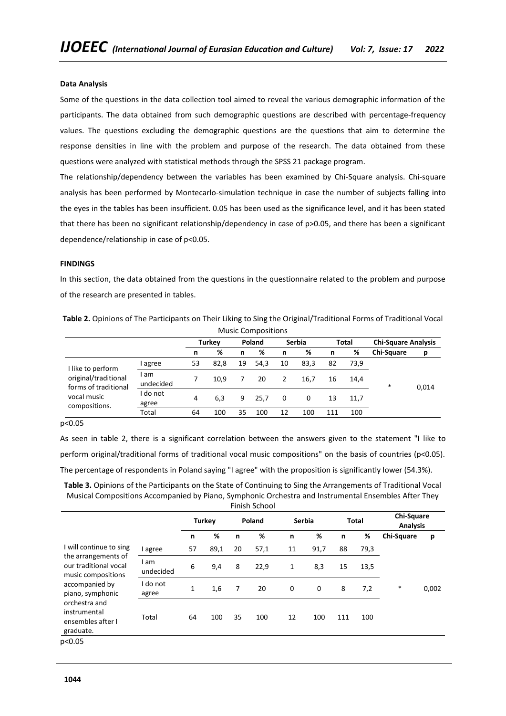## **Data Analysis**

Some of the questions in the data collection tool aimed to reveal the various demographic information of the participants. The data obtained from such demographic questions are described with percentage-frequency values. The questions excluding the demographic questions are the questions that aim to determine the response densities in line with the problem and purpose of the research. The data obtained from these questions were analyzed with statistical methods through the SPSS 21 package program.

The relationship/dependency between the variables has been examined by Chi-Square analysis. Chi-square analysis has been performed by Montecarlo-simulation technique in case the number of subjects falling into the eyes in the tables has been insufficient. 0.05 has been used as the significance level, and it has been stated that there has been no significant relationship/dependency in case of p>0.05, and there has been a significant dependence/relationship in case of p<0.05.

#### **FINDINGS**

In this section, the data obtained from the questions in the questionnaire related to the problem and purpose of the research are presented in tables.

|                                              |                 |    |                                          |    | <b>Music Compositions</b> |    |      |     |       |                            |       |
|----------------------------------------------|-----------------|----|------------------------------------------|----|---------------------------|----|------|-----|-------|----------------------------|-------|
|                                              |                 |    | <b>Turkev</b><br>Poland<br><b>Serbia</b> |    |                           |    |      |     | Total | <b>Chi-Square Analysis</b> |       |
|                                              |                 | n  | %                                        | n  | %                         | n  | %    | n   | %     | <b>Chi-Square</b>          | p     |
| I like to perform                            | agree           | 53 | 82,8                                     | 19 | 54.3                      | 10 | 83,3 | 82  | 73.9  |                            |       |
| original/traditional<br>forms of traditional | am<br>undecided |    | 10.9                                     |    | 20                        | 2  | 16,7 | 16  | 14.4  | *                          | 0,014 |
| vocal music<br>compositions.                 | do not<br>agree | 4  | 6,3                                      | 9  | 25.7                      | 0  | 0    | 13  | 11.7  |                            |       |
|                                              | Total           | 64 | 100                                      | 35 | 100                       | 12 | 100  | 111 | 100   |                            |       |

**Table 2.** Opinions of The Participants on Their Liking to Sing the Original/Traditional Forms of Traditional Vocal

## p<0.05

As seen in table 2, there is a significant correlation between the answers given to the statement "I like to perform original/traditional forms of traditional vocal music compositions" on the basis of countries (p<0.05). The percentage of respondents in Poland saying "I agree" with the proposition is significantly lower (54.3%).

**Table 3.** Opinions of the Participants on the State of Continuing to Sing the Arrangements of Traditional Vocal Musical Compositions Accompanied by Piano, Symphonic Orchestra and Instrumental Ensembles After They Finish School

|                                                                    |                   |              |               |        | וטטווטכוונווו |               |      |              |      |                               |       |
|--------------------------------------------------------------------|-------------------|--------------|---------------|--------|---------------|---------------|------|--------------|------|-------------------------------|-------|
|                                                                    |                   |              | <b>Turkey</b> | Poland |               | <b>Serbia</b> |      | <b>Total</b> |      | Chi-Square<br><b>Analysis</b> |       |
|                                                                    |                   | n            | %             | n      | %             | n             | %    | n            | %    | Chi-Square                    | р     |
| I will continue to sing                                            | I agree           | 57           | 89,1          | 20     | 57,1          | 11            | 91,7 | 88           | 79,3 |                               |       |
| the arrangements of<br>our traditional vocal<br>music compositions | I am<br>undecided | 6            | 9,4           | 8      | 22,9          | 1             | 8,3  | 15           | 13,5 |                               |       |
| accompanied by<br>piano, symphonic                                 | I do not<br>agree | $\mathbf{1}$ | 1,6           | 7      | 20            | 0             | 0    | 8            | 7,2  | $\ast$                        | 0,002 |
| orchestra and<br>instrumental<br>ensembles after I<br>graduate.    | Total             | 64           | 100           | 35     | 100           | 12            | 100  | 111          | 100  |                               |       |
| p<0.05                                                             |                   |              |               |        |               |               |      |              |      |                               |       |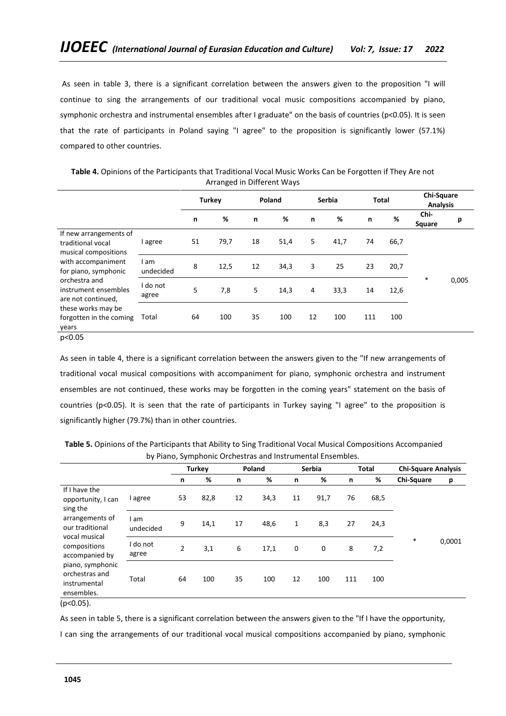As seen in table 3, there is a significant correlation between the answers given to the proposition "I will continue to sing the arrangements of our traditional vocal music compositions accompanied by piano, symphonic orchestra and instrumental ensembles after I graduate" on the basis of countries (p<0.05). It is seen that the rate of participants in Poland saying "I agree" to the proposition is significantly lower (57.1%) compared to other countries.

|                                                                    |                   |    | Turkey |    | Poland | <b>Serbia</b> |      | <b>Total</b> |      | <b>Chi-Square</b><br><b>Analysis</b> |       |
|--------------------------------------------------------------------|-------------------|----|--------|----|--------|---------------|------|--------------|------|--------------------------------------|-------|
|                                                                    |                   | n  | %      | n  | %      | n             | %    | n            | %    | Chi-<br>Square                       | р     |
| If new arrangements of<br>traditional vocal                        | I agree           | 51 | 79,7   | 18 | 51,4   | 5             | 41,7 | 74           | 66,7 |                                      |       |
| musical compositions<br>with accompaniment<br>for piano, symphonic | l am<br>undecided | 8  | 12,5   | 12 | 34,3   | 3             | 25   | 23           | 20,7 |                                      |       |
| orchestra and<br>instrument ensembles<br>are not continued,        | I do not<br>agree | 5  | 7,8    | 5  | 14,3   | 4             | 33,3 | 14           | 12,6 | $\ast$                               | 0,005 |
| these works may be<br>forgotten in the coming<br>years             | Total             | 64 | 100    | 35 | 100    | 12            | 100  | 111          | 100  |                                      |       |
| p<0.05                                                             |                   |    |        |    |        |               |      |              |      |                                      |       |

**Table 4.** Opinions of the Participants that Traditional Vocal Music Works Can be Forgotten if They Are not Arranged in Different Ways

As seen in table 4, there is a significant correlation between the answers given to the "If new arrangements of traditional vocal musical compositions with accompaniment for piano, symphonic orchestra and instrument ensembles are not continued, these works may be forgotten in the coming years" statement on the basis of countries (p<0.05). It is seen that the rate of participants in Turkey saying "I agree" to the proposition is significantly higher (79.7%) than in other countries.

**Table 5.** Opinions of the Participants that Ability to Sing Traditional Vocal Musical Compositions Accompanied by Piano, Symphonic Orchestras and Instrumental Ensembles. **Turkey Poland Serbia Total Chi-Square Analysis**

|                                                                  |                   |    | Turkev |    | Poland |              | Serbia |     | Total | <b>Chi-Square Analysis</b> |        |
|------------------------------------------------------------------|-------------------|----|--------|----|--------|--------------|--------|-----|-------|----------------------------|--------|
|                                                                  |                   | n  | %      | n  | %      | n            | %      | n   | %     | Chi-Square                 | p      |
| If I have the<br>opportunity, I can<br>sing the                  | I agree           | 53 | 82,8   | 12 | 34,3   | 11           | 91,7   | 76  | 68,5  |                            |        |
| arrangements of<br>our traditional<br>vocal musical              | am<br>undecided   | 9  | 14,1   | 17 | 48,6   | $\mathbf{1}$ | 8,3    | 27  | 24,3  |                            |        |
| compositions<br>accompanied by                                   | I do not<br>agree | 2  | 3,1    | 6  | 17,1   | 0            | 0      | 8   | 7,2   | $\ast$                     | 0,0001 |
| piano, symphonic<br>orchestras and<br>instrumental<br>ensembles. | Total             | 64 | 100    | 35 | 100    | 12           | 100    | 111 | 100   |                            |        |
| $(p<0.05)$ .                                                     |                   |    |        |    |        |              |        |     |       |                            |        |

As seen in table 5, there is a significant correlation between the answers given to the "If I have the opportunity,

I can sing the arrangements of our traditional vocal musical compositions accompanied by piano, symphonic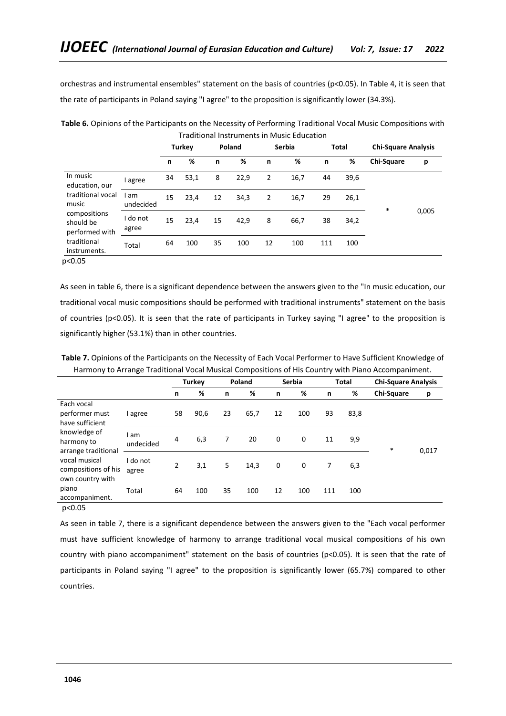orchestras and instrumental ensembles" statement on the basis of countries (p<0.05). In Table 4, it is seen that the rate of participants in Poland saying "I agree" to the proposition is significantly lower (34.3%).

|                                             |                 |    | <b>Turkey</b> | Poland |      | <b>Serbia</b> |      | <b>Total</b> |      | <b>Chi-Square Analysis</b> |       |
|---------------------------------------------|-----------------|----|---------------|--------|------|---------------|------|--------------|------|----------------------------|-------|
|                                             |                 | n  | %             | n      | %    | n             | %    | n            | %    | Chi-Square                 | p     |
| In music<br>education, our                  | agree           | 34 | 53,1          | 8      | 22,9 | 2             | 16,7 | 44           | 39,6 |                            |       |
| traditional vocal<br>music                  | am<br>undecided | 15 | 23,4          | 12     | 34,3 | 2             | 16,7 | 29           | 26,1 | $\ast$                     |       |
| compositions<br>should be<br>performed with | do not<br>agree | 15 | 23,4          | 15     | 42,9 | 8             | 66,7 | 38           | 34,2 |                            | 0,005 |
| traditional<br>instruments.                 | Total           | 64 | 100           | 35     | 100  | 12            | 100  | 111          | 100  |                            |       |

**Table 6.** Opinions of the Participants on the Necessity of Performing Traditional Vocal Music Compositions with Traditional Instruments in Music Education

p<0.05

As seen in table 6, there is a significant dependence between the answers given to the "In music education, our traditional vocal music compositions should be performed with traditional instruments" statement on the basis of countries (p<0.05). It is seen that the rate of participants in Turkey saying "I agree" to the proposition is significantly higher (53.1%) than in other countries.

**Table 7.** Opinions of the Participants on the Necessity of Each Vocal Performer to Have Sufficient Knowledge of Harmony to Arrange Traditional Vocal Musical Compositions of His Country with Piano Accompaniment.

|                                                                     |                   |                | <b>Turkey</b> |    | Poland |    | <b>Serbia</b> |     | <b>Total</b> | <b>Chi-Square Analysis</b> |       |
|---------------------------------------------------------------------|-------------------|----------------|---------------|----|--------|----|---------------|-----|--------------|----------------------------|-------|
|                                                                     |                   | n              | %             | n  | %      | n  | %             | n   | %            | <b>Chi-Square</b>          | р     |
| Each vocal<br>performer must<br>have sufficient                     | l agree           | 58             | 90,6          | 23 | 65,7   | 12 | 100           | 93  | 83,8         |                            |       |
| knowledge of<br>harmony to                                          | l am<br>undecided | 4              | 6,3           | 7  | 20     | 0  | 0             | 11  | 9,9          | $\ast$                     | 0,017 |
| arrange traditional<br>vocal musical<br>compositions of his         | I do not<br>agree | $\overline{2}$ | 3,1           | 5  | 14,3   | 0  | 0             | 7   | 6,3          |                            |       |
| own country with<br>piano<br>accompaniment.<br>$\sim$ $\sim$ $\sim$ | Total             | 64             | 100           | 35 | 100    | 12 | 100           | 111 | 100          |                            |       |

p<0.05

As seen in table 7, there is a significant dependence between the answers given to the "Each vocal performer must have sufficient knowledge of harmony to arrange traditional vocal musical compositions of his own country with piano accompaniment" statement on the basis of countries (p<0.05). It is seen that the rate of participants in Poland saying "I agree" to the proposition is significantly lower (65.7%) compared to other countries.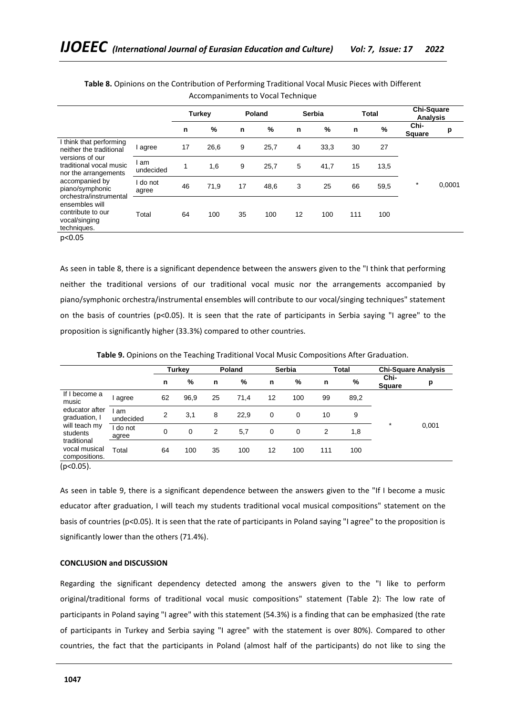|                                                                     |                 |    | <b>Turkey</b> |    | Poland | <b>Serbia</b> |      | <b>Total</b> |      | <b>Chi-Square</b><br>Analysis |        |
|---------------------------------------------------------------------|-----------------|----|---------------|----|--------|---------------|------|--------------|------|-------------------------------|--------|
|                                                                     |                 | n  | $\%$          | n  | $\%$   | n             | %    | n            | $\%$ | Chi-<br><b>Square</b>         | p      |
| I think that performing<br>neither the traditional                  | agree           | 17 | 26,6          | 9  | 25,7   | 4             | 33,3 | 30           | 27   |                               |        |
| versions of our<br>traditional vocal music<br>nor the arrangements  | am<br>undecided | 1  | 1,6           | 9  | 25,7   | 5             | 41,7 | 15           | 13,5 |                               |        |
| accompanied by<br>piano/symphonic<br>orchestra/instrumental         | do not<br>agree | 46 | 71,9          | 17 | 48,6   | 3             | 25   | 66           | 59,5 | $\ast$                        | 0,0001 |
| ensembles will<br>contribute to our<br>vocal/singing<br>techniques. | Total           | 64 | 100           | 35 | 100    | 12            | 100  | 111          | 100  |                               |        |
| $\sim$ $\sim$ $\sim$                                                |                 |    |               |    |        |               |      |              |      |                               |        |

**Table 8.** Opinions on the Contribution of Performing Traditional Vocal Music Pieces with Different Accompaniments to Vocal Technique

p<0.05

As seen in table 8, there is a significant dependence between the answers given to the "I think that performing neither the traditional versions of our traditional vocal music nor the arrangements accompanied by piano/symphonic orchestra/instrumental ensembles will contribute to our vocal/singing techniques" statement on the basis of countries (p<0.05). It is seen that the rate of participants in Serbia saying "I agree" to the proposition is significantly higher (33.3%) compared to other countries.

**Table 9.** Opinions on the Teaching Traditional Vocal Music Compositions After Graduation.

|                                               |                 | Turkey |      | <b>Serbia</b><br>Poland |      |    | Total | <b>Chi-Square Analysis</b> |      |                |       |
|-----------------------------------------------|-----------------|--------|------|-------------------------|------|----|-------|----------------------------|------|----------------|-------|
|                                               |                 | n      | %    | n                       | %    | n  | %     | n                          | %    | Chi-<br>Square | p     |
| If I become a<br>music                        | agree           | 62     | 96,9 | 25                      | 71,4 | 12 | 100   | 99                         | 89,2 |                |       |
| educator after<br>graduation, I               | am<br>undecided | 2      | 3,1  | 8                       | 22,9 | 0  | 0     | 10                         | 9    |                |       |
| will teach my<br>students                     | do not<br>agree | 0      | 0    | 2                       | 5,7  | 0  | 0     | 2                          | 1,8  | $\star$        | 0,001 |
| traditional<br>vocal musical<br>compositions. | Total           | 64     | 100  | 35                      | 100  | 12 | 100   | 111                        | 100  |                |       |

(p<0.05).

As seen in table 9, there is a significant dependence between the answers given to the "If I become a music educator after graduation, I will teach my students traditional vocal musical compositions" statement on the basis of countries (p<0.05). It is seen that the rate of participants in Poland saying "I agree" to the proposition is significantly lower than the others (71.4%).

### **CONCLUSION and DISCUSSION**

Regarding the significant dependency detected among the answers given to the "I like to perform original/traditional forms of traditional vocal music compositions" statement (Table 2): The low rate of participants in Poland saying "I agree" with this statement (54.3%) is a finding that can be emphasized (the rate of participants in Turkey and Serbia saying "I agree" with the statement is over 80%). Compared to other countries, the fact that the participants in Poland (almost half of the participants) do not like to sing the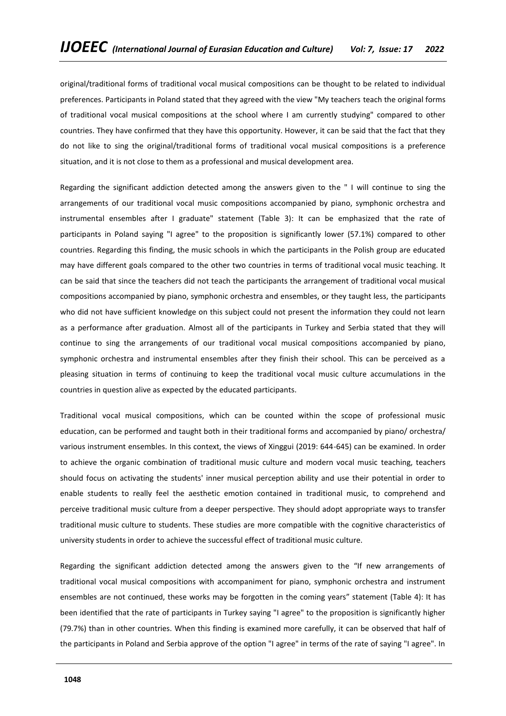original/traditional forms of traditional vocal musical compositions can be thought to be related to individual preferences. Participants in Poland stated that they agreed with the view "My teachers teach the original forms of traditional vocal musical compositions at the school where I am currently studying" compared to other countries. They have confirmed that they have this opportunity. However, it can be said that the fact that they do not like to sing the original/traditional forms of traditional vocal musical compositions is a preference situation, and it is not close to them as a professional and musical development area.

Regarding the significant addiction detected among the answers given to the " I will continue to sing the arrangements of our traditional vocal music compositions accompanied by piano, symphonic orchestra and instrumental ensembles after I graduate" statement (Table 3): It can be emphasized that the rate of participants in Poland saying "I agree" to the proposition is significantly lower (57.1%) compared to other countries. Regarding this finding, the music schools in which the participants in the Polish group are educated may have different goals compared to the other two countries in terms of traditional vocal music teaching. It can be said that since the teachers did not teach the participants the arrangement of traditional vocal musical compositions accompanied by piano, symphonic orchestra and ensembles, or they taught less, the participants who did not have sufficient knowledge on this subject could not present the information they could not learn as a performance after graduation. Almost all of the participants in Turkey and Serbia stated that they will continue to sing the arrangements of our traditional vocal musical compositions accompanied by piano, symphonic orchestra and instrumental ensembles after they finish their school. This can be perceived as a pleasing situation in terms of continuing to keep the traditional vocal music culture accumulations in the countries in question alive as expected by the educated participants.

Traditional vocal musical compositions, which can be counted within the scope of professional music education, can be performed and taught both in their traditional forms and accompanied by piano/ orchestra/ various instrument ensembles. In this context, the views of Xinggui (2019: 644-645) can be examined. In order to achieve the organic combination of traditional music culture and modern vocal music teaching, teachers should focus on activating the students' inner musical perception ability and use their potential in order to enable students to really feel the aesthetic emotion contained in traditional music, to comprehend and perceive traditional music culture from a deeper perspective. They should adopt appropriate ways to transfer traditional music culture to students. These studies are more compatible with the cognitive characteristics of university students in order to achieve the successful effect of traditional music culture.

Regarding the significant addiction detected among the answers given to the "If new arrangements of traditional vocal musical compositions with accompaniment for piano, symphonic orchestra and instrument ensembles are not continued, these works may be forgotten in the coming years" statement (Table 4): It has been identified that the rate of participants in Turkey saying "I agree" to the proposition is significantly higher (79.7%) than in other countries. When this finding is examined more carefully, it can be observed that half of the participants in Poland and Serbia approve of the option "I agree" in terms of the rate of saying "I agree". In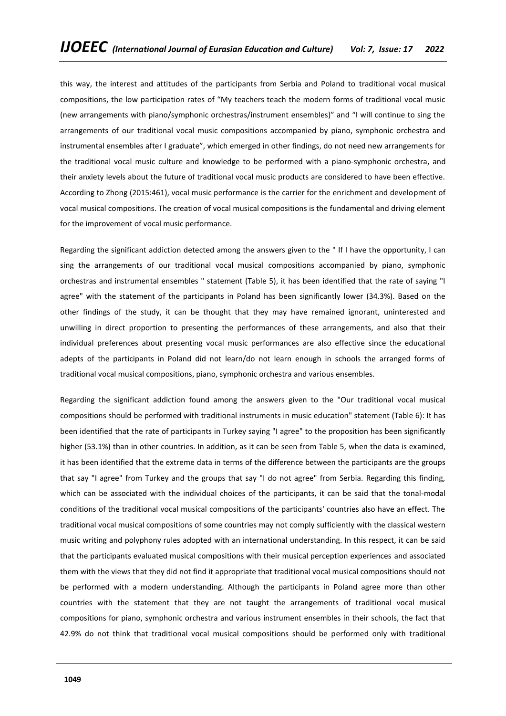this way, the interest and attitudes of the participants from Serbia and Poland to traditional vocal musical compositions, the low participation rates of "My teachers teach the modern forms of traditional vocal music (new arrangements with piano/symphonic orchestras/instrument ensembles)" and "I will continue to sing the arrangements of our traditional vocal music compositions accompanied by piano, symphonic orchestra and instrumental ensembles after I graduate", which emerged in other findings, do not need new arrangements for the traditional vocal music culture and knowledge to be performed with a piano-symphonic orchestra, and their anxiety levels about the future of traditional vocal music products are considered to have been effective. According to Zhong (2015:461), vocal music performance is the carrier for the enrichment and development of vocal musical compositions. The creation of vocal musical compositions is the fundamental and driving element for the improvement of vocal music performance.

Regarding the significant addiction detected among the answers given to the " If I have the opportunity, I can sing the arrangements of our traditional vocal musical compositions accompanied by piano, symphonic orchestras and instrumental ensembles " statement (Table 5), it has been identified that the rate of saying "I agree" with the statement of the participants in Poland has been significantly lower (34.3%). Based on the other findings of the study, it can be thought that they may have remained ignorant, uninterested and unwilling in direct proportion to presenting the performances of these arrangements, and also that their individual preferences about presenting vocal music performances are also effective since the educational adepts of the participants in Poland did not learn/do not learn enough in schools the arranged forms of traditional vocal musical compositions, piano, symphonic orchestra and various ensembles.

Regarding the significant addiction found among the answers given to the "Our traditional vocal musical compositions should be performed with traditional instruments in music education" statement (Table 6): It has been identified that the rate of participants in Turkey saying "I agree" to the proposition has been significantly higher (53.1%) than in other countries. In addition, as it can be seen from Table 5, when the data is examined, it has been identified that the extreme data in terms of the difference between the participants are the groups that say "I agree" from Turkey and the groups that say "I do not agree" from Serbia. Regarding this finding, which can be associated with the individual choices of the participants, it can be said that the tonal-modal conditions of the traditional vocal musical compositions of the participants' countries also have an effect. The traditional vocal musical compositions of some countries may not comply sufficiently with the classical western music writing and polyphony rules adopted with an international understanding. In this respect, it can be said that the participants evaluated musical compositions with their musical perception experiences and associated them with the views that they did not find it appropriate that traditional vocal musical compositions should not be performed with a modern understanding. Although the participants in Poland agree more than other countries with the statement that they are not taught the arrangements of traditional vocal musical compositions for piano, symphonic orchestra and various instrument ensembles in their schools, the fact that 42.9% do not think that traditional vocal musical compositions should be performed only with traditional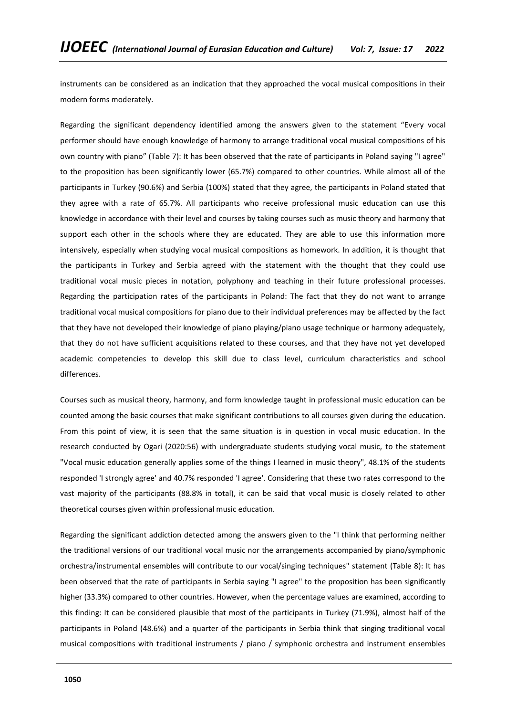instruments can be considered as an indication that they approached the vocal musical compositions in their modern forms moderately.

Regarding the significant dependency identified among the answers given to the statement "Every vocal performer should have enough knowledge of harmony to arrange traditional vocal musical compositions of his own country with piano" (Table 7): It has been observed that the rate of participants in Poland saying "I agree" to the proposition has been significantly lower (65.7%) compared to other countries. While almost all of the participants in Turkey (90.6%) and Serbia (100%) stated that they agree, the participants in Poland stated that they agree with a rate of 65.7%. All participants who receive professional music education can use this knowledge in accordance with their level and courses by taking courses such as music theory and harmony that support each other in the schools where they are educated. They are able to use this information more intensively, especially when studying vocal musical compositions as homework. In addition, it is thought that the participants in Turkey and Serbia agreed with the statement with the thought that they could use traditional vocal music pieces in notation, polyphony and teaching in their future professional processes. Regarding the participation rates of the participants in Poland: The fact that they do not want to arrange traditional vocal musical compositions for piano due to their individual preferences may be affected by the fact that they have not developed their knowledge of piano playing/piano usage technique or harmony adequately, that they do not have sufficient acquisitions related to these courses, and that they have not yet developed academic competencies to develop this skill due to class level, curriculum characteristics and school differences.

Courses such as musical theory, harmony, and form knowledge taught in professional music education can be counted among the basic courses that make significant contributions to all courses given during the education. From this point of view, it is seen that the same situation is in question in vocal music education. In the research conducted by Ogari (2020:56) with undergraduate students studying vocal music, to the statement "Vocal music education generally applies some of the things I learned in music theory", 48.1% of the students responded 'I strongly agree' and 40.7% responded 'I agree'. Considering that these two rates correspond to the vast majority of the participants (88.8% in total), it can be said that vocal music is closely related to other theoretical courses given within professional music education.

Regarding the significant addiction detected among the answers given to the "I think that performing neither the traditional versions of our traditional vocal music nor the arrangements accompanied by piano/symphonic orchestra/instrumental ensembles will contribute to our vocal/singing techniques" statement (Table 8): It has been observed that the rate of participants in Serbia saying "I agree" to the proposition has been significantly higher (33.3%) compared to other countries. However, when the percentage values are examined, according to this finding: It can be considered plausible that most of the participants in Turkey (71.9%), almost half of the participants in Poland (48.6%) and a quarter of the participants in Serbia think that singing traditional vocal musical compositions with traditional instruments / piano / symphonic orchestra and instrument ensembles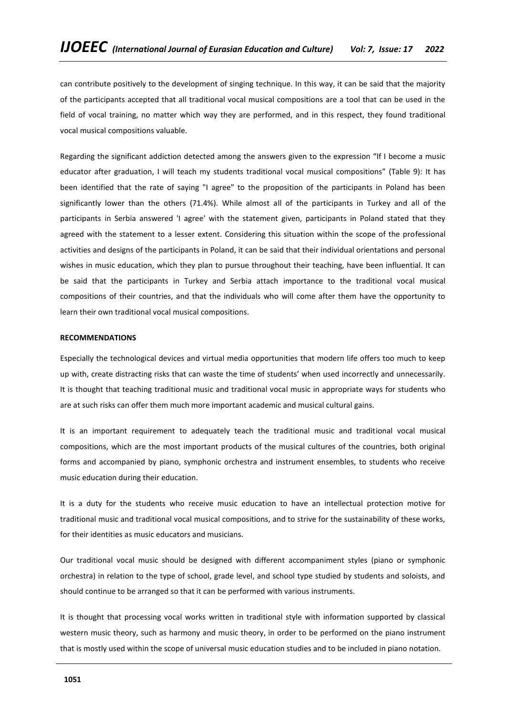can contribute positively to the development of singing technique. In this way, it can be said that the majority of the participants accepted that all traditional vocal musical compositions are a tool that can be used in the field of vocal training, no matter which way they are performed, and in this respect, they found traditional vocal musical compositions valuable.

Regarding the significant addiction detected among the answers given to the expression "If I become a music educator after graduation, I will teach my students traditional vocal musical compositions" (Table 9): It has been identified that the rate of saying "I agree" to the proposition of the participants in Poland has been significantly lower than the others (71.4%). While almost all of the participants in Turkey and all of the participants in Serbia answered 'I agree' with the statement given, participants in Poland stated that they agreed with the statement to a lesser extent. Considering this situation within the scope of the professional activities and designs of the participants in Poland, it can be said that their individual orientations and personal wishes in music education, which they plan to pursue throughout their teaching, have been influential. It can be said that the participants in Turkey and Serbia attach importance to the traditional vocal musical compositions of their countries, and that the individuals who will come after them have the opportunity to learn their own traditional vocal musical compositions.

## **RECOMMENDATIONS**

Especially the technological devices and virtual media opportunities that modern life offers too much to keep up with, create distracting risks that can waste the time of students' when used incorrectly and unnecessarily. It is thought that teaching traditional music and traditional vocal music in appropriate ways for students who are at such risks can offer them much more important academic and musical cultural gains.

It is an important requirement to adequately teach the traditional music and traditional vocal musical compositions, which are the most important products of the musical cultures of the countries, both original forms and accompanied by piano, symphonic orchestra and instrument ensembles, to students who receive music education during their education.

It is a duty for the students who receive music education to have an intellectual protection motive for traditional music and traditional vocal musical compositions, and to strive for the sustainability of these works, for their identities as music educators and musicians.

Our traditional vocal music should be designed with different accompaniment styles (piano or symphonic orchestra) in relation to the type of school, grade level, and school type studied by students and soloists, and should continue to be arranged so that it can be performed with various instruments.

It is thought that processing vocal works written in traditional style with information supported by classical western music theory, such as harmony and music theory, in order to be performed on the piano instrument that is mostly used within the scope of universal music education studies and to be included in piano notation.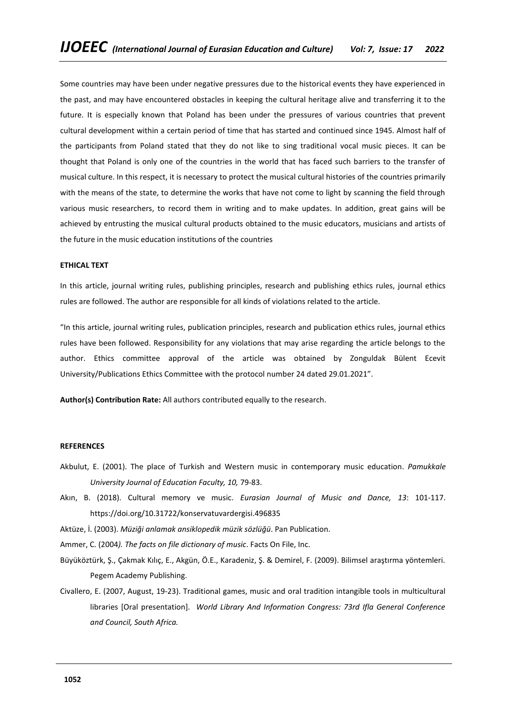Some countries may have been under negative pressures due to the historical events they have experienced in the past, and may have encountered obstacles in keeping the cultural heritage alive and transferring it to the future. It is especially known that Poland has been under the pressures of various countries that prevent cultural development within a certain period of time that has started and continued since 1945. Almost half of the participants from Poland stated that they do not like to sing traditional vocal music pieces. It can be thought that Poland is only one of the countries in the world that has faced such barriers to the transfer of musical culture. In this respect, it is necessary to protect the musical cultural histories of the countries primarily with the means of the state, to determine the works that have not come to light by scanning the field through various music researchers, to record them in writing and to make updates. In addition, great gains will be achieved by entrusting the musical cultural products obtained to the music educators, musicians and artists of the future in the music education institutions of the countries

### **ETHICAL TEXT**

In this article, journal writing rules, publishing principles, research and publishing ethics rules, journal ethics rules are followed. The author are responsible for all kinds of violations related to the article.

"In this article, journal writing rules, publication principles, research and publication ethics rules, journal ethics rules have been followed. Responsibility for any violations that may arise regarding the article belongs to the author. Ethics committee approval of the article was obtained by Zonguldak Bülent Ecevit University/Publications Ethics Committee with the protocol number 24 dated 29.01.2021".

**Author(s) Contribution Rate:** All authors contributed equally to the research.

### **REFERENCES**

- Akbulut, E. (2001). The place of Turkish and Western music in contemporary music education. *Pamukkale University Journal of Education Faculty, 10,* 79-83.
- Akın, B. (2018). Cultural memory ve music. *Eurasian Journal of Music and Dance, 13*: 101-117. https://doi.org/10.31722/konservatuvardergisi.496835

Aktüze, İ. (2003). *Müziği anlamak ansiklopedik müzik sözlüğü*. Pan Publication.

Ammer, C. (2004*). The facts on file dictionary of music*. Facts On File, Inc.

- Büyüköztürk, Ş., Çakmak Kılıç, E., Akgün, Ö.E., Karadeniz, Ş. & Demirel, F. (2009). Bilimsel araştırma yöntemleri. Pegem Academy Publishing.
- Civallero, E. (2007, August, 19-23). Traditional games, music and oral tradition intangible tools in multicultural libraries [Oral presentation]. *World Library And Information Congress: 73rd Ifla General Conference and Council, South Africa.*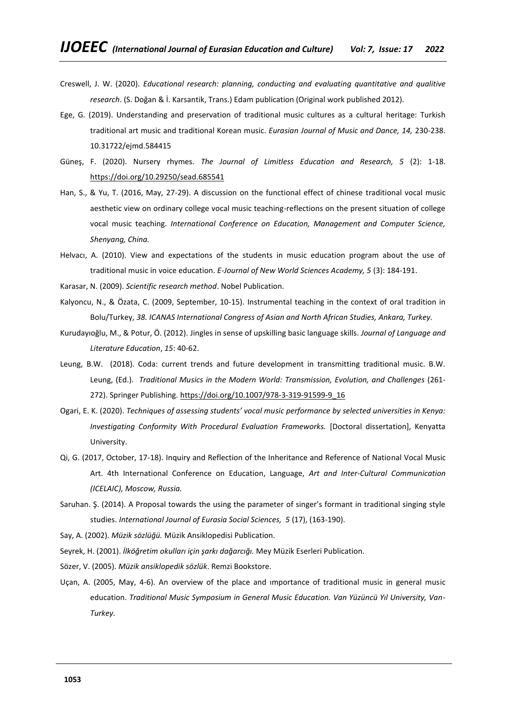- Creswell, J. W. (2020). *Educational research: planning, conducting and evaluating quantitative and qualitive research*. (S. Doğan & İ. Karsantik, Trans.) Edam publication (Original work published 2012).
- Ege, G. (2019). Understanding and preservation of traditional music cultures as a cultural heritage: Turkish traditional art music and traditional Korean music. *Eurasian Journal of Music and Dance, 14,* 230-238. 10.31722/ejmd.584415
- Güneş, F. (2020). Nursery rhymes. *The Journal of Limitless Education and Research, 5* (2): 1-18. <https://doi.org/10.29250/sead.685541>
- Han, S., & Yu, T. (2016, May, 27-29). A discussion on the functional effect of chinese traditional vocal music aesthetic view on ordinary college vocal music teaching-reflections on the present situation of college vocal music teaching*. International Conference on Education, Management and Computer Science, Shenyang, China.*
- Helvacı, A. (2010). View and expectations of the students in music education program about the use of traditional music in voice education. *E-Journal of New World Sciences Academy, 5* (3): 184-191.
- Karasar, N. (2009). *Scientific research method*. Nobel Publication.
- Kalyoncu, N., & Özata, C. (2009, September, 10-15). Instrumental teaching in the context of oral tradition in Bolu/Turkey, *38. ICANAS International Congress of Asian and North African Studies, Ankara, Turkey.*
- Kurudayıoğlu, M., & Potur, Ö. (2012). Jingles in sense of upskilling basic language skills. *Journal of Language and Literature Education*, *15*: 40-62.
- Leung, B.W. (2018). Coda: current trends and future development in transmitting traditional music. B.W. Leung, (Ed.). *Traditional Musics in the Modern World: Transmission, Evolution, and Challenges* (261 272). Springer Publishing. [https://doi.org/10.1007/978-3-319-91599-9\\_16](https://doi.org/10.1007/978-3-319-91599-9_16)
- Ogari, E. K. (2020). *Techniques of assessing students' vocal music performance by selected universities in Kenya: Investigating Conformity With Procedural Evaluation Frameworks.* [Doctoral dissertation], Kenyatta University.
- Qi, G. (2017, October, 17-18). Inquiry and Reflection of the Inheritance and Reference of National Vocal Music Art. 4th International Conference on Education, Language, *Art and Inter-Cultural Communication (ICELAIC), Moscow, Russia.*
- Saruhan. Ş. (2014). A Proposal towards the using the parameter of singer's formant in traditional singing style studies. *International Journal of Eurasia Social Sciences, 5* (17), (163-190).
- Say, A. (2002). *Müzik sözlüğü.* Müzik Ansiklopedisi Publication.
- Seyrek, H. (2001). *İlköğretim okulları için şarkı dağarcığı.* Mey Müzik Eserleri Publication.
- Sözer, V. (2005). *Müzik ansiklopedik sözlük*. Remzi Bookstore.
- Uçan, A. (2005, May, 4-6). An overview of the place and ımportance of traditional music in general music education. *Traditional Music Symposium in General Music Education. Van Yüzüncü Yıl University, Van-Turkey.*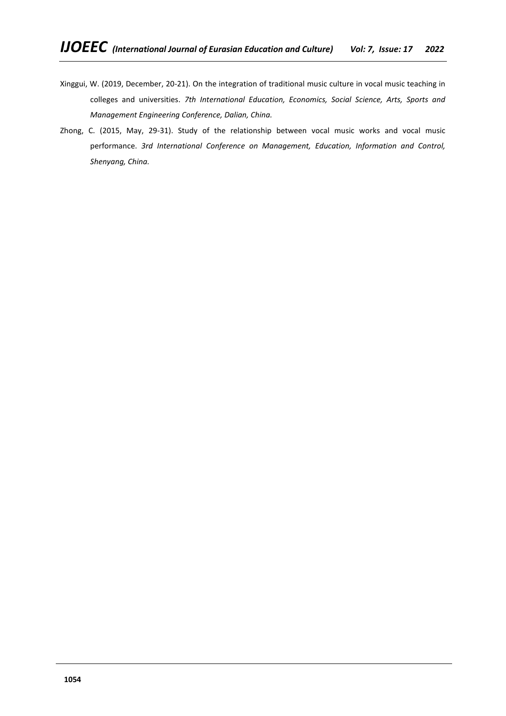- Xinggui, W. (2019, December, 20-21). On the integration of traditional music culture in vocal music teaching in colleges and universities. *7th International Education, Economics, Social Science, Arts, Sports and Management Engineering Conference, Dalian, China.*
- Zhong, C. (2015, May, 29-31). Study of the relationship between vocal music works and vocal music performance. *3rd International Conference on Management, Education, Information and Control, Shenyang, China.*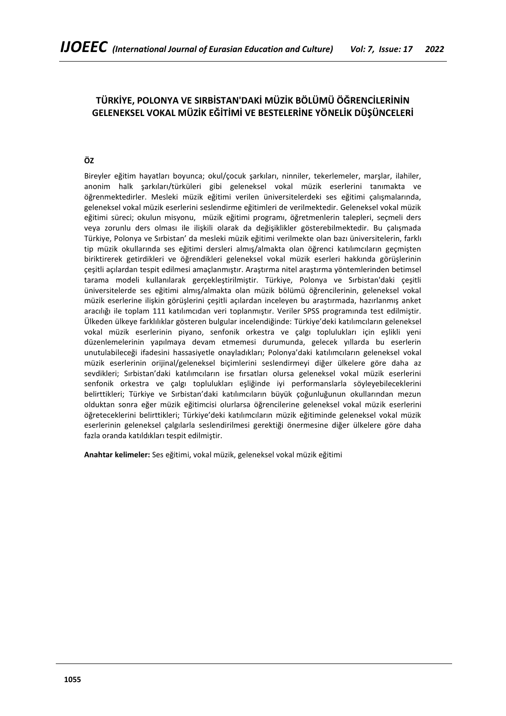# **TÜRKİYE, POLONYA VE SIRBİSTAN'DAKİ MÜZİK BÖLÜMÜ ÖĞRENCİLERİNİN GELENEKSEL VOKAL MÜZİK EĞİTİMİ VE BESTELERİNE YÖNELİK DÜŞÜNCELERİ**

## **ÖZ**

Bireyler eğitim hayatları boyunca; okul/çocuk şarkıları, ninniler, tekerlemeler, marşlar, ilahiler, anonim halk şarkıları/türküleri gibi geleneksel vokal müzik eserlerini tanımakta ve öğrenmektedirler. Mesleki müzik eğitimi verilen üniversitelerdeki ses eğitimi çalışmalarında, geleneksel vokal müzik eserlerini seslendirme eğitimleri de verilmektedir. Geleneksel vokal müzik eğitimi süreci; okulun misyonu, müzik eğitimi programı, öğretmenlerin talepleri, seçmeli ders veya zorunlu ders olması ile ilişkili olarak da değişiklikler gösterebilmektedir. Bu çalışmada Türkiye, Polonya ve Sırbistan' da mesleki müzik eğitimi verilmekte olan bazı üniversitelerin, farklı tip müzik okullarında ses eğitimi dersleri almış/almakta olan öğrenci katılımcıların geçmişten biriktirerek getirdikleri ve öğrendikleri geleneksel vokal müzik eserleri hakkında görüşlerinin çeşitli açılardan tespit edilmesi amaçlanmıştır. Araştırma nitel araştırma yöntemlerinden betimsel tarama modeli kullanılarak gerçekleştirilmiştir. Türkiye, Polonya ve Sırbistan'daki çeşitli üniversitelerde ses eğitimi almış/almakta olan müzik bölümü öğrencilerinin, geleneksel vokal müzik eserlerine ilişkin görüşlerini çeşitli açılardan inceleyen bu araştırmada, hazırlanmış anket aracılığı ile toplam 111 katılımcıdan veri toplanmıştır. Veriler SPSS programında test edilmiştir. Ülkeden ülkeye farklılıklar gösteren bulgular incelendiğinde: Türkiye'deki katılımcıların geleneksel vokal müzik eserlerinin piyano, senfonik orkestra ve çalgı toplulukları için eşlikli yeni düzenlemelerinin yapılmaya devam etmemesi durumunda, gelecek yıllarda bu eserlerin unutulabileceği ifadesini hassasiyetle onayladıkları; Polonya'daki katılımcıların geleneksel vokal müzik eserlerinin orijinal/geleneksel biçimlerini seslendirmeyi diğer ülkelere göre daha az sevdikleri; Sırbistan'daki katılımcıların ise fırsatları olursa geleneksel vokal müzik eserlerini senfonik orkestra ve çalgı toplulukları eşliğinde iyi performanslarla söyleyebileceklerini belirttikleri; Türkiye ve Sırbistan'daki katılımcıların büyük çoğunluğunun okullarından mezun olduktan sonra eğer müzik eğitimcisi olurlarsa öğrencilerine geleneksel vokal müzik eserlerini öğreteceklerini belirttikleri; Türkiye'deki katılımcıların müzik eğitiminde geleneksel vokal müzik eserlerinin geleneksel çalgılarla seslendirilmesi gerektiği önermesine diğer ülkelere göre daha fazla oranda katıldıkları tespit edilmiştir.

**Anahtar kelimeler:** Ses eğitimi, vokal müzik, geleneksel vokal müzik eğitimi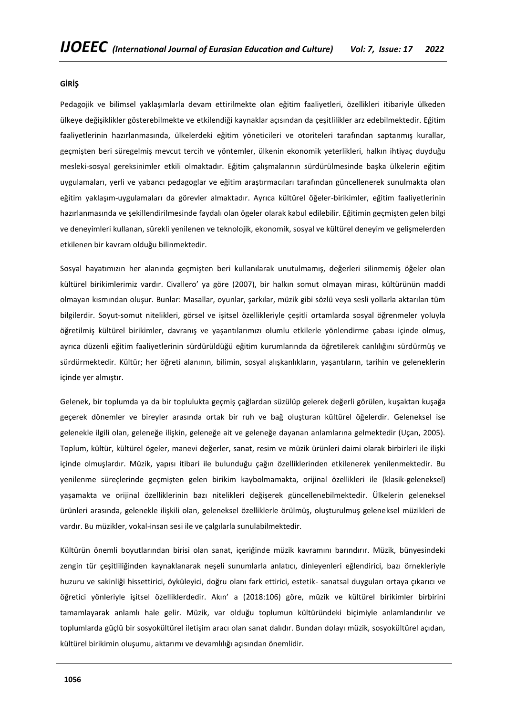## **GİRİŞ**

Pedagojik ve bilimsel yaklaşımlarla devam ettirilmekte olan eğitim faaliyetleri, özellikleri itibariyle ülkeden ülkeye değişiklikler gösterebilmekte ve etkilendiği kaynaklar açısından da çeşitlilikler arz edebilmektedir. Eğitim faaliyetlerinin hazırlanmasında, ülkelerdeki eğitim yöneticileri ve otoriteleri tarafından saptanmış kurallar, geçmişten beri süregelmiş mevcut tercih ve yöntemler, ülkenin ekonomik yeterlikleri, halkın ihtiyaç duyduğu mesleki-sosyal gereksinimler etkili olmaktadır. Eğitim çalışmalarının sürdürülmesinde başka ülkelerin eğitim uygulamaları, yerli ve yabancı pedagoglar ve eğitim araştırmacıları tarafından güncellenerek sunulmakta olan eğitim yaklaşım-uygulamaları da görevler almaktadır. Ayrıca kültürel öğeler-birikimler, eğitim faaliyetlerinin hazırlanmasında ve şekillendirilmesinde faydalı olan ögeler olarak kabul edilebilir. Eğitimin geçmişten gelen bilgi ve deneyimleri kullanan, sürekli yenilenen ve teknolojik, ekonomik, sosyal ve kültürel deneyim ve gelişmelerden etkilenen bir kavram olduğu bilinmektedir.

Sosyal hayatımızın her alanında geçmişten beri kullanılarak unutulmamış, değerleri silinmemiş öğeler olan kültürel birikimlerimiz vardır. Civallero' ya göre (2007), bir halkın somut olmayan mirası, kültürünün maddi olmayan kısmından oluşur. Bunlar: Masallar, oyunlar, şarkılar, müzik gibi sözlü veya sesli yollarla aktarılan tüm bilgilerdir. Soyut-somut nitelikleri, görsel ve işitsel özellikleriyle çeşitli ortamlarda sosyal öğrenmeler yoluyla öğretilmiş kültürel birikimler, davranış ve yaşantılarımızı olumlu etkilerle yönlendirme çabası içinde olmuş, ayrıca düzenli eğitim faaliyetlerinin sürdürüldüğü eğitim kurumlarında da öğretilerek canlılığını sürdürmüş ve sürdürmektedir. Kültür; her öğreti alanının, bilimin, sosyal alışkanlıkların, yaşantıların, tarihin ve geleneklerin içinde yer almıştır.

Gelenek, bir toplumda ya da bir toplulukta geçmiş çağlardan süzülüp gelerek değerli görülen, kuşaktan kuşağa geçerek dönemler ve bireyler arasında ortak bir ruh ve bağ oluşturan kültürel öğelerdir. Geleneksel ise gelenekle ilgili olan, geleneğe ilişkin, geleneğe ait ve geleneğe dayanan anlamlarına gelmektedir (Uçan, 2005). Toplum, kültür, kültürel ögeler, manevi değerler, sanat, resim ve müzik ürünleri daimi olarak birbirleri ile ilişki içinde olmuşlardır. Müzik, yapısı itibari ile bulunduğu çağın özelliklerinden etkilenerek yenilenmektedir. Bu yenilenme süreçlerinde geçmişten gelen birikim kaybolmamakta, orijinal özellikleri ile (klasik-geleneksel) yaşamakta ve orijinal özelliklerinin bazı nitelikleri değişerek güncellenebilmektedir. Ülkelerin geleneksel ürünleri arasında, gelenekle ilişkili olan, geleneksel özelliklerle örülmüş, oluşturulmuş geleneksel müzikleri de vardır. Bu müzikler, vokal-insan sesi ile ve çalgılarla sunulabilmektedir.

Kültürün önemli boyutlarından birisi olan sanat, içeriğinde müzik kavramını barındırır. Müzik, bünyesindeki zengin tür çeşitliliğinden kaynaklanarak neşeli sunumlarla anlatıcı, dinleyenleri eğlendirici, bazı örnekleriyle huzuru ve sakinliği hissettirici, öyküleyici, doğru olanı fark ettirici, estetik- sanatsal duyguları ortaya çıkarıcı ve öğretici yönleriyle işitsel özelliklerdedir. Akın' a (2018:106) göre, müzik ve kültürel birikimler birbirini tamamlayarak anlamlı hale gelir. Müzik, var olduğu toplumun kültüründeki biçimiyle anlamlandırılır ve toplumlarda güçlü bir sosyokültürel iletişim aracı olan sanat dalıdır. Bundan dolayı müzik, sosyokültürel açıdan, kültürel birikimin oluşumu, aktarımı ve devamlılığı açısından önemlidir.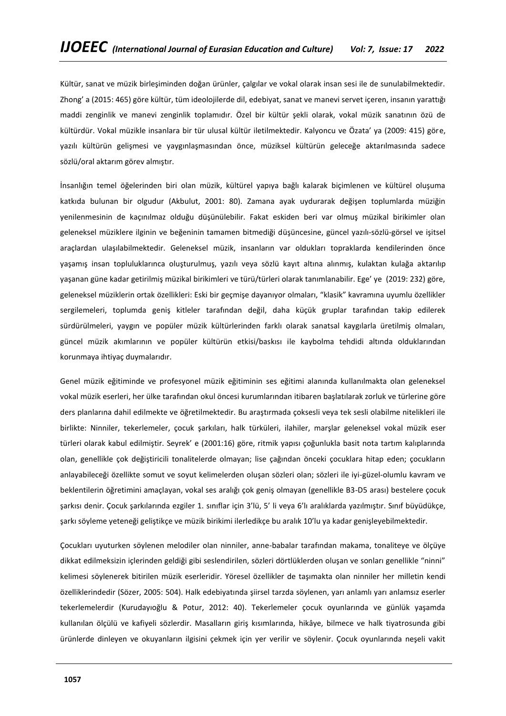Kültür, sanat ve müzik birleşiminden doğan ürünler, çalgılar ve vokal olarak insan sesi ile de sunulabilmektedir. Zhong' a (2015: 465) göre kültür, tüm ideolojilerde dil, edebiyat, sanat ve manevi servet içeren, insanın yarattığı maddi zenginlik ve manevi zenginlik toplamıdır. Özel bir kültür şekli olarak, vokal müzik sanatının özü de kültürdür. Vokal müzikle insanlara bir tür ulusal kültür iletilmektedir. Kalyoncu ve Özata' ya (2009: 415) göre, yazılı kültürün gelişmesi ve yaygınlaşmasından önce, müziksel kültürün geleceğe aktarılmasında sadece sözlü/oral aktarım görev almıştır.

İnsanlığın temel öğelerinden biri olan müzik, kültürel yapıya bağlı kalarak biçimlenen ve kültürel oluşuma katkıda bulunan bir olgudur (Akbulut, 2001: 80). Zamana ayak uydurarak değişen toplumlarda müziğin yenilenmesinin de kaçınılmaz olduğu düşünülebilir. Fakat eskiden beri var olmuş müzikal birikimler olan geleneksel müziklere ilginin ve beğeninin tamamen bitmediği düşüncesine, güncel yazılı-sözlü-görsel ve işitsel araçlardan ulaşılabilmektedir. Geleneksel müzik, insanların var oldukları topraklarda kendilerinden önce yaşamış insan topluluklarınca oluşturulmuş, yazılı veya sözlü kayıt altına alınmış, kulaktan kulağa aktarılıp yaşanan güne kadar getirilmiş müzikal birikimleri ve türü/türleri olarak tanımlanabilir. Ege' ye (2019: 232) göre, geleneksel müziklerin ortak özellikleri: Eski bir geçmişe dayanıyor olmaları, "klasik" kavramına uyumlu özellikler sergilemeleri, toplumda geniş kitleler tarafından değil, daha küçük gruplar tarafından takip edilerek sürdürülmeleri, yaygın ve popüler müzik kültürlerinden farklı olarak sanatsal kaygılarla üretilmiş olmaları, güncel müzik akımlarının ve popüler kültürün etkisi/baskısı ile kaybolma tehdidi altında olduklarından korunmaya ihtiyaç duymalarıdır.

Genel müzik eğitiminde ve profesyonel müzik eğitiminin ses eğitimi alanında kullanılmakta olan geleneksel vokal müzik eserleri, her ülke tarafından okul öncesi kurumlarından itibaren başlatılarak zorluk ve türlerine göre ders planlarına dahil edilmekte ve öğretilmektedir. Bu araştırmada çoksesli veya tek sesli olabilme nitelikleri ile birlikte: Ninniler, tekerlemeler, çocuk şarkıları, halk türküleri, ilahiler, marşlar geleneksel vokal müzik eser türleri olarak kabul edilmiştir. Seyrek' e (2001:16) göre, ritmik yapısı çoğunlukla basit nota tartım kalıplarında olan, genellikle çok değiştiricili tonalitelerde olmayan; lise çağından önceki çocuklara hitap eden; çocukların anlayabileceği özellikte somut ve soyut kelimelerden oluşan sözleri olan; sözleri ile iyi-güzel-olumlu kavram ve beklentilerin öğretimini amaçlayan, vokal ses aralığı çok geniş olmayan (genellikle B3-D5 arası) bestelere çocuk şarkısı denir. Çocuk şarkılarında ezgiler 1. sınıflar için 3'lü, 5' li veya 6'lı aralıklarda yazılmıştır. Sınıf büyüdükçe, şarkı söyleme yeteneği geliştikçe ve müzik birikimi ilerledikçe bu aralık 10'lu ya kadar genişleyebilmektedir.

Çocukları uyuturken söylenen melodiler olan ninniler, anne-babalar tarafından makama, tonaliteye ve ölçüye dikkat edilmeksizin içlerinden geldiği gibi seslendirilen, sözleri dörtlüklerden oluşan ve sonları genellikle "ninni" kelimesi söylenerek bitirilen müzik eserleridir. Yöresel özellikler de taşımakta olan ninniler her milletin kendi özelliklerindedir (Sözer, 2005: 504). Halk edebiyatında şiirsel tarzda söylenen, yarı anlamlı yarı anlamsız eserler tekerlemelerdir (Kurudayıoğlu & Potur, 2012: 40). Tekerlemeler çocuk oyunlarında ve günlük yaşamda kullanılan ölçülü ve kafiyeli sözlerdir. Masalların giriş kısımlarında, hikâye, bilmece ve halk tiyatrosunda gibi ürünlerde dinleyen ve okuyanların ilgisini çekmek için yer verilir ve söylenir. Çocuk oyunlarında neşeli vakit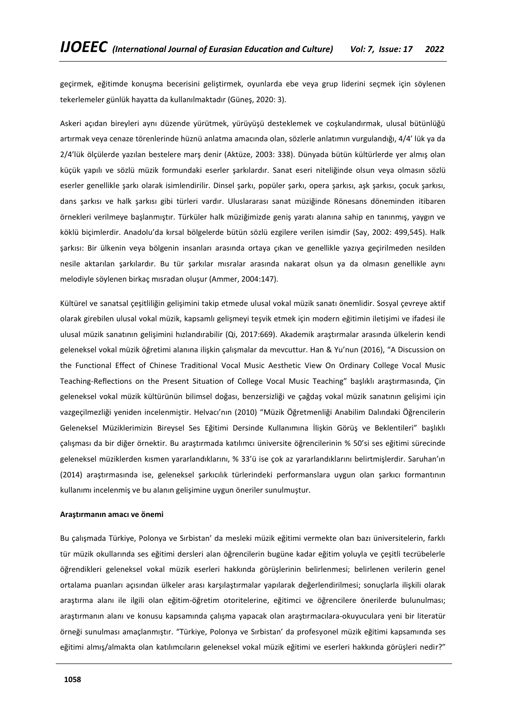geçirmek, eğitimde konuşma becerisini geliştirmek, oyunlarda ebe veya grup liderini seçmek için söylenen tekerlemeler günlük hayatta da kullanılmaktadır (Güneş, 2020: 3).

Askeri açıdan bireyleri aynı düzende yürütmek, yürüyüşü desteklemek ve coşkulandırmak, ulusal bütünlüğü artırmak veya cenaze törenlerinde hüznü anlatma amacında olan, sözlerle anlatımın vurgulandığı, 4/4' lük ya da 2/4'lük ölçülerde yazılan bestelere marş denir (Aktüze, 2003: 338). Dünyada bütün kültürlerde yer almış olan küçük yapılı ve sözlü müzik formundaki eserler şarkılardır. Sanat eseri niteliğinde olsun veya olmasın sözlü eserler genellikle şarkı olarak isimlendirilir. Dinsel şarkı, popüler şarkı, opera şarkısı, aşk şarkısı, çocuk şarkısı, dans şarkısı ve halk şarkısı gibi türleri vardır. Uluslararası sanat müziğinde Rönesans döneminden itibaren örnekleri verilmeye başlanmıştır. Türküler halk müziğimizde geniş yaratı alanına sahip en tanınmış, yaygın ve köklü biçimlerdir. Anadolu'da kırsal bölgelerde bütün sözlü ezgilere verilen isimdir (Say, 2002: 499,545). Halk şarkısı: Bir ülkenin veya bölgenin insanları arasında ortaya çıkan ve genellikle yazıya geçirilmeden nesilden nesile aktarılan şarkılardır. Bu tür şarkılar mısralar arasında nakarat olsun ya da olmasın genellikle aynı melodiyle söylenen birkaç mısradan oluşur (Ammer, 2004:147).

Kültürel ve sanatsal çeşitliliğin gelişimini takip etmede ulusal vokal müzik sanatı önemlidir. Sosyal çevreye aktif olarak girebilen ulusal vokal müzik, kapsamlı gelişmeyi teşvik etmek için modern eğitimin iletişimi ve ifadesi ile ulusal müzik sanatının gelişimini hızlandırabilir (Qi, 2017:669). Akademik araştırmalar arasında ülkelerin kendi geleneksel vokal müzik öğretimi alanına ilişkin çalışmalar da mevcuttur. Han & Yu'nun (2016), "A Discussion on the Functional Effect of Chinese Traditional Vocal Music Aesthetic View On Ordinary College Vocal Music Teaching-Reflections on the Present Situation of College Vocal Music Teaching" başlıklı araştırmasında, Çin geleneksel vokal müzik kültürünün bilimsel doğası, benzersizliği ve çağdaş vokal müzik sanatının gelişimi için vazgeçilmezliği yeniden incelenmiştir. Helvacı'nın (2010) "Müzik Öğretmenliği Anabilim Dalındaki Öğrencilerin Geleneksel Müziklerimizin Bireysel Ses Eğitimi Dersinde Kullanımına İlişkin Görüş ve Beklentileri" başlıklı çalışması da bir diğer örnektir. Bu araştırmada katılımcı üniversite öğrencilerinin % 50'si ses eğitimi sürecinde geleneksel müziklerden kısmen yararlandıklarını, % 33'ü ise çok az yararlandıklarını belirtmişlerdir. Saruhan'ın (2014) araştırmasında ise, geleneksel şarkıcılık türlerindeki performanslara uygun olan şarkıcı formantının kullanımı incelenmiş ve bu alanın gelişimine uygun öneriler sunulmuştur.

### **Araştırmanın amacı ve önemi**

Bu çalışmada Türkiye, Polonya ve Sırbistan' da mesleki müzik eğitimi vermekte olan bazı üniversitelerin, farklı tür müzik okullarında ses eğitimi dersleri alan öğrencilerin bugüne kadar eğitim yoluyla ve çeşitli tecrübelerle öğrendikleri geleneksel vokal müzik eserleri hakkında görüşlerinin belirlenmesi; belirlenen verilerin genel ortalama puanları açısından ülkeler arası karşılaştırmalar yapılarak değerlendirilmesi; sonuçlarla ilişkili olarak araştırma alanı ile ilgili olan eğitim-öğretim otoritelerine, eğitimci ve öğrencilere önerilerde bulunulması; araştırmanın alanı ve konusu kapsamında çalışma yapacak olan araştırmacılara-okuyuculara yeni bir literatür örneği sunulması amaçlanmıştır. "Türkiye, Polonya ve Sırbistan' da profesyonel müzik eğitimi kapsamında ses eğitimi almış/almakta olan katılımcıların geleneksel vokal müzik eğitimi ve eserleri hakkında görüşleri nedir?"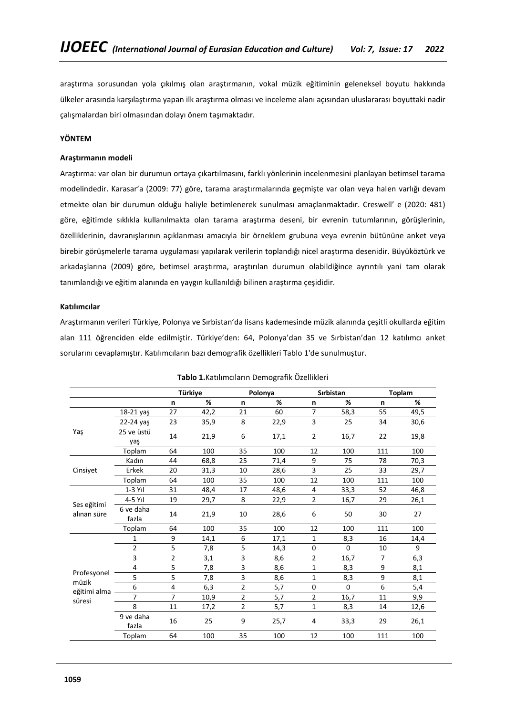araştırma sorusundan yola çıkılmış olan araştırmanın, vokal müzik eğitiminin geleneksel boyutu hakkında ülkeler arasında karşılaştırma yapan ilk araştırma olması ve inceleme alanı açısından uluslararası boyuttaki nadir çalışmalardan biri olmasından dolayı önem taşımaktadır.

## **YÖNTEM**

## **Araştırmanın modeli**

Araştırma: var olan bir durumun ortaya çıkartılmasını, farklı yönlerinin incelenmesini planlayan betimsel tarama modelindedir. Karasar'a (2009: 77) göre, tarama araştırmalarında geçmişte var olan veya halen varlığı devam etmekte olan bir durumun olduğu haliyle betimlenerek sunulması amaçlanmaktadır. Creswell' e (2020: 481) göre, eğitimde sıklıkla kullanılmakta olan tarama araştırma deseni, bir evrenin tutumlarının, görüşlerinin, özelliklerinin, davranışlarının açıklanması amacıyla bir örneklem grubuna veya evrenin bütününe anket veya birebir görüşmelerle tarama uygulaması yapılarak verilerin toplandığı nicel araştırma desenidir. Büyüköztürk ve arkadaşlarına (2009) göre, betimsel araştırma, araştırılan durumun olabildiğince ayrıntılı yani tam olarak tanımlandığı ve eğitim alanında en yaygın kullanıldığı bilinen araştırma çeşididir.

## **Katılımcılar**

Araştırmanın verileri Türkiye, Polonya ve Sırbistan'da lisans kademesinde müzik alanında çeşitli okullarda eğitim alan 111 öğrenciden elde edilmiştir. Türkiye'den: 64, Polonya'dan 35 ve Sırbistan'dan 12 katılımcı anket sorularını cevaplamıştır. Katılımcıların bazı demografik özellikleri Tablo 1'de sunulmuştur.

|                            |                    |                | Türkiye |                | Polonya |                | <b>Sirbistan</b> |                | <b>Toplam</b> |
|----------------------------|--------------------|----------------|---------|----------------|---------|----------------|------------------|----------------|---------------|
|                            |                    | n              | %       | n              | %       | n              | %                | n              | %             |
|                            | 18-21 yaş          | 27             | 42,2    | 21             | 60      | $\overline{7}$ | 58,3             | 55             | 49,5          |
|                            | 22-24 yaş          | 23             | 35,9    | 8              | 22,9    | 3              | 25               | 34             | 30,6          |
| Yaş                        | 25 ve üstü<br>yaş  | 14             | 21,9    | 6              | 17,1    | $\overline{2}$ | 16,7             | 22             | 19,8          |
|                            | Toplam             | 64             | 100     | 35             | 100     | 12             | 100              | 111            | 100           |
|                            | Kadın              | 44             | 68,8    | 25             | 71,4    | 9              | 75               | 78             | 70,3          |
| Cinsiyet                   | Erkek              | 20             | 31,3    | 10             | 28,6    | 3              | 25               | 33             | 29,7          |
|                            | Toplam             | 64             | 100     | 35             | 100     | 12             | 100              | 111            | 100           |
|                            | $1-3$ Yıl          | 31             | 48,4    | 17             | 48,6    | 4              | 33,3             | 52             | 46,8          |
|                            | 4-5 Yıl            | 19             | 29,7    | 8              | 22,9    | $\overline{2}$ | 16,7             | 29             | 26,1          |
| Ses eğitimi<br>alınan süre | 6 ve daha<br>fazla | 14             | 21,9    | 10             | 28,6    | 6              | 50               | 30             | 27            |
|                            | Toplam             | 64             | 100     | 35             | 100     | 12             | 100              | 111            | 100           |
|                            | 1                  | 9              | 14,1    | 6              | 17,1    | $\mathbf{1}$   | 8,3              | 16             | 14,4          |
|                            | 2                  | 5              | 7,8     | 5              | 14,3    | 0              | $\Omega$         | 10             | 9             |
|                            | 3                  | $\overline{2}$ | 3,1     | 3              | 8,6     | $\overline{2}$ | 16,7             | $\overline{7}$ | 6,3           |
|                            | 4                  | 5              | 7,8     | 3              | 8,6     | $\mathbf{1}$   | 8,3              | 9              | 8,1           |
| Profesyonel                | 5                  | 5              | 7,8     | 3              | 8,6     | $\mathbf{1}$   | 8,3              | 9              | 8,1           |
| müzik<br>eğitimi alma      | 6                  | 4              | 6,3     | 2              | 5,7     | 0              | $\Omega$         | 6              | 5,4           |
| süresi                     | 7                  | $\overline{7}$ | 10,9    | 2              | 5,7     | $\overline{2}$ | 16,7             | 11             | 9,9           |
|                            | 8                  | 11             | 17,2    | $\overline{2}$ | 5,7     | $\mathbf{1}$   | 8,3              | 14             | 12,6          |
|                            | 9 ve daha<br>fazla | 16             | 25      | 9              | 25,7    | 4              | 33,3             | 29             | 26,1          |
|                            | Toplam             | 64             | 100     | 35             | 100     | 12             | 100              | 111            | 100           |

### **Tablo 1.**Katılımcıların Demografik Özellikleri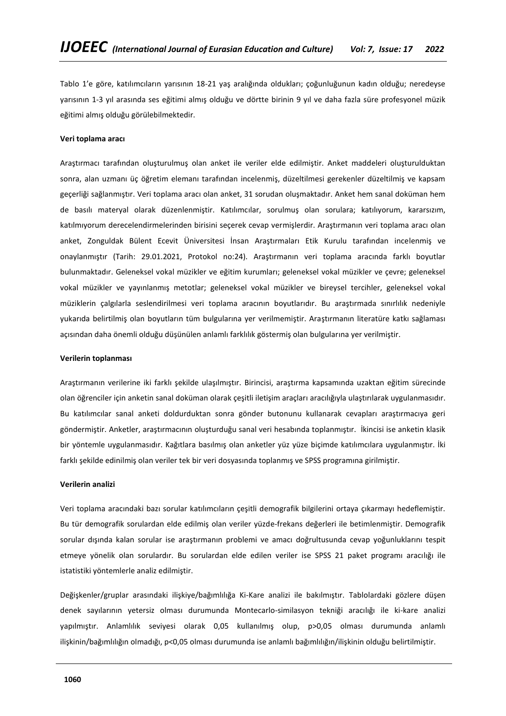Tablo 1'e göre, katılımcıların yarısının 18-21 yaş aralığında oldukları; çoğunluğunun kadın olduğu; neredeyse yarısının 1-3 yıl arasında ses eğitimi almış olduğu ve dörtte birinin 9 yıl ve daha fazla süre profesyonel müzik eğitimi almış olduğu görülebilmektedir.

### **Veri toplama aracı**

Araştırmacı tarafından oluşturulmuş olan anket ile veriler elde edilmiştir. Anket maddeleri oluşturulduktan sonra, alan uzmanı üç öğretim elemanı tarafından incelenmiş, düzeltilmesi gerekenler düzeltilmiş ve kapsam geçerliği sağlanmıştır. Veri toplama aracı olan anket, 31 sorudan oluşmaktadır. Anket hem sanal doküman hem de basılı materyal olarak düzenlenmiştir. Katılımcılar, sorulmuş olan sorulara; katılıyorum, kararsızım, katılmıyorum derecelendirmelerinden birisini seçerek cevap vermişlerdir. Araştırmanın veri toplama aracı olan anket, Zonguldak Bülent Ecevit Üniversitesi İnsan Araştırmaları Etik Kurulu tarafından incelenmiş ve onaylanmıştır (Tarih: 29.01.2021, Protokol no:24). Araştırmanın veri toplama aracında farklı boyutlar bulunmaktadır. Geleneksel vokal müzikler ve eğitim kurumları; geleneksel vokal müzikler ve çevre; geleneksel vokal müzikler ve yayınlanmış metotlar; geleneksel vokal müzikler ve bireysel tercihler, geleneksel vokal müziklerin çalgılarla seslendirilmesi veri toplama aracının boyutlarıdır. Bu araştırmada sınırlılık nedeniyle yukarıda belirtilmiş olan boyutların tüm bulgularına yer verilmemiştir. Araştırmanın literatüre katkı sağlaması açısından daha önemli olduğu düşünülen anlamlı farklılık göstermiş olan bulgularına yer verilmiştir.

## **Verilerin toplanması**

Araştırmanın verilerine iki farklı şekilde ulaşılmıştır. Birincisi, araştırma kapsamında uzaktan eğitim sürecinde olan öğrenciler için anketin sanal doküman olarak çeşitli iletişim araçları aracılığıyla ulaştırılarak uygulanmasıdır. Bu katılımcılar sanal anketi doldurduktan sonra gönder butonunu kullanarak cevapları araştırmacıya geri göndermiştir. Anketler, araştırmacının oluşturduğu sanal veri hesabında toplanmıştır. İkincisi ise anketin klasik bir yöntemle uygulanmasıdır. Kağıtlara basılmış olan anketler yüz yüze biçimde katılımcılara uygulanmıştır. İki farklı şekilde edinilmiş olan veriler tek bir veri dosyasında toplanmış ve SPSS programına girilmiştir.

### **Verilerin analizi**

Veri toplama aracındaki bazı sorular katılımcıların çeşitli demografik bilgilerini ortaya çıkarmayı hedeflemiştir. Bu tür demografik sorulardan elde edilmiş olan veriler yüzde-frekans değerleri ile betimlenmiştir. Demografik sorular dışında kalan sorular ise araştırmanın problemi ve amacı doğrultusunda cevap yoğunluklarını tespit etmeye yönelik olan sorulardır. Bu sorulardan elde edilen veriler ise SPSS 21 paket programı aracılığı ile istatistiki yöntemlerle analiz edilmiştir.

Değişkenler/gruplar arasındaki ilişkiye/bağımlılığa Ki-Kare analizi ile bakılmıştır. Tablolardaki gözlere düşen denek sayılarının yetersiz olması durumunda Montecarlo-similasyon tekniği aracılığı ile ki-kare analizi yapılmıştır. Anlamlılık seviyesi olarak 0,05 kullanılmış olup, p>0,05 olması durumunda anlamlı ilişkinin/bağımlılığın olmadığı, p<0,05 olması durumunda ise anlamlı bağımlılığın/ilişkinin olduğu belirtilmiştir.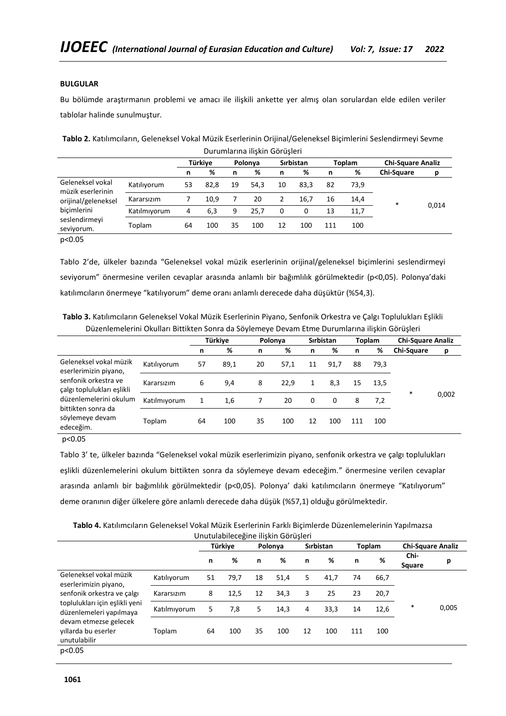## **BULGULAR**

Bu bölümde araştırmanın problemi ve amacı ile ilişkili ankette yer almış olan sorulardan elde edilen veriler tablolar halinde sunulmuştur.

|              |    | Türkiye |    |      | <b>Sirbistan</b> |      |                                  |      | <b>Chi-Square Analiz</b> |       |  |
|--------------|----|---------|----|------|------------------|------|----------------------------------|------|--------------------------|-------|--|
|              | n  | %       | n  | %    | n                | %    | n                                | %    | <b>Chi-Square</b>        | р     |  |
| Katılıyorum  | 53 | 82.8    | 19 | 54.3 | 10               | 83.3 | 82                               | 73.9 |                          |       |  |
| Kararsızım   |    | 10.9    |    | 20   | 2                | 16.7 | 16                               | 14,4 | $\ast$                   |       |  |
| Katılmıyorum | 4  | 6,3     | 9  | 25.7 | 0                | 0    | 13                               | 11,7 |                          | 0,014 |  |
| Toplam       | 64 | 100     | 35 | 100  | 12               | 100  | 111                              | 100  |                          |       |  |
|              |    |         |    |      | Polonya          |      | <b>Daramanna məkir dörüşitir</b> |      | Toplam                   |       |  |

**Tablo 2.** Katılımcıların, Geleneksel Vokal Müzik Eserlerinin Orijinal/Geleneksel Biçimlerini Seslendirmeyi Sevme Durumlarına ilişkin Görüşleri

p<0.05

Tablo 2'de, ülkeler bazında "Geleneksel vokal müzik eserlerinin orijinal/geleneksel biçimlerini seslendirmeyi seviyorum" önermesine verilen cevaplar arasında anlamlı bir bağımlılık görülmektedir (p<0,05). Polonya'daki katılımcıların önermeye "katılıyorum" deme oranı anlamlı derecede daha düşüktür (%54,3).

**Tablo 3.** Katılımcıların Geleneksel Vokal Müzik Eserlerinin Piyano, Senfonik Orkestra ve Çalgı Toplulukları Eşlikli Düzenlemelerini Okulları Bittikten Sonra da Söylemeye Devam Etme Durumlarına ilişkin Görüşleri

|                                                                                                                                                                                       |              | Türkiye |      | Polonya |      | <b>Sirbistan</b> |      | <b>Toplam</b> |      | <b>Chi-Square Analiz</b> |       |
|---------------------------------------------------------------------------------------------------------------------------------------------------------------------------------------|--------------|---------|------|---------|------|------------------|------|---------------|------|--------------------------|-------|
|                                                                                                                                                                                       |              | n       | %    | n       | %    | n                | %    | n             | %    | Chi-Square               | р     |
| Geleneksel vokal müzik<br>eserlerimizin piyano,<br>senfonik orkestra ve<br>çalgı toplulukları eşlikli<br>düzenlemelerini okulum<br>bittikten sonra da<br>söylemeye devam<br>edeceğim. | Katılıyorum  | 57      | 89,1 | 20      | 57,1 | 11               | 91,7 | 88            | 79,3 |                          |       |
|                                                                                                                                                                                       | Kararsızım   | 6       | 9,4  | 8       | 22,9 |                  | 8,3  | 15            | 13,5 | $\ast$                   |       |
|                                                                                                                                                                                       | Katılmıyorum | 1       | 1,6  |         | 20   | 0                | 0    | 8             | 7,2  |                          | 0,002 |
|                                                                                                                                                                                       | Toplam       | 64      | 100  | 35      | 100  | 12               | 100  | 111           | 100  |                          |       |

p<0.05

Tablo 3' te, ülkeler bazında "Geleneksel vokal müzik eserlerimizin piyano, senfonik orkestra ve çalgı toplulukları eşlikli düzenlemelerini okulum bittikten sonra da söylemeye devam edeceğim." önermesine verilen cevaplar arasında anlamlı bir bağımlılık görülmektedir (p<0,05). Polonya' daki katılımcıların önermeye "Katılıyorum" deme oranının diğer ülkelere göre anlamlı derecede daha düşük (%57,1) olduğu görülmektedir.

| Tablo 4. Katılımcıların Geleneksel Vokal Müzik Eserlerinin Farklı Biçimlerde Düzenlemelerinin Yapılmazsa |  |
|----------------------------------------------------------------------------------------------------------|--|
| Thutulahileceğine ilişkin Görüşleri                                                                      |  |

|                                                                                                                                                                                                            | 0.10.001001100051110 111911111 001 091011 |         |      |    |         |                  |      |               |      |                          |       |  |  |
|------------------------------------------------------------------------------------------------------------------------------------------------------------------------------------------------------------|-------------------------------------------|---------|------|----|---------|------------------|------|---------------|------|--------------------------|-------|--|--|
|                                                                                                                                                                                                            |                                           | Türkiye |      |    | Polonya | <b>Sirbistan</b> |      | <b>Toplam</b> |      | <b>Chi-Square Analiz</b> |       |  |  |
|                                                                                                                                                                                                            |                                           | n       | %    | n  | %       | n                | %    | n             | %    | Chi-<br>Square           | р     |  |  |
| Geleneksel vokal müzik<br>eserlerimizin piyano,<br>senfonik orkestra ve çalgı<br>toplulukları için eşlikli yeni<br>düzenlemeleri yapılmaya<br>devam etmezse gelecek<br>villarda bu eserler<br>unutulabilir | Katılıyorum                               | 51      | 79,7 | 18 | 51,4    | 5                | 41,7 | 74            | 66,7 |                          |       |  |  |
|                                                                                                                                                                                                            | Kararsızım                                | 8       | 12,5 | 12 | 34,3    | 3                | 25   | 23            | 20,7 |                          |       |  |  |
|                                                                                                                                                                                                            | Katılmıyorum                              | 5       | 7,8  | 5  | 14,3    | 4                | 33,3 | 14            | 12,6 | $\ast$                   | 0,005 |  |  |
|                                                                                                                                                                                                            | Toplam                                    | 64      | 100  | 35 | 100     | 12               | 100  | 111           | 100  |                          |       |  |  |
| p<0.05                                                                                                                                                                                                     |                                           |         |      |    |         |                  |      |               |      |                          |       |  |  |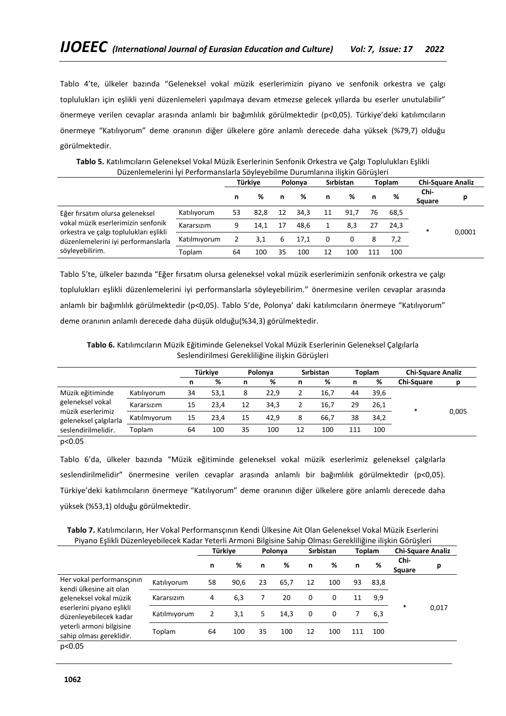Tablo 4'te, ülkeler bazında "Geleneksel vokal müzik eserlerimizin piyano ve senfonik orkestra ve çalgı toplulukları için eşlikli yeni düzenlemeleri yapılmaya devam etmezse gelecek yıllarda bu eserler unutulabilir" önermeye verilen cevaplar arasında anlamlı bir bağımlılık görülmektedir (p<0,05). Türkiye'deki katılımcıların önermeye "Katılıyorum" deme oranının diğer ülkelere göre anlamlı derecede daha yüksek (%79,7) olduğu görülmektedir.

**Tablo 5.** Katılımcıların Geleneksel Vokal Müzik Eserlerinin Senfonik Orkestra ve Çalgı Toplulukları Eşlikli Düzenlemelerini İyi Performanslarla Söyleyebilme Durumlarına ilişkin Görüşleri

|                                                                                                                                                                           |              | Türkive |      | Polonya |      | Sırbistan    |      | <b>Toplam</b> |      | <b>Chi-Square Analiz</b> |        |
|---------------------------------------------------------------------------------------------------------------------------------------------------------------------------|--------------|---------|------|---------|------|--------------|------|---------------|------|--------------------------|--------|
|                                                                                                                                                                           |              | n       | %    |         | %    |              | ℅    | n             | %    | Chi-<br>Square           |        |
| Eğer firsatım olursa geleneksel<br>vokal müzik eserlerimizin senfonik<br>orkestra ve çalgı toplulukları eşlikli<br>düzenlemelerini iyi performanslarla<br>söyleyebilirim. | Katılıyorum  | 53      | 82,8 | 12      | 34.3 | 11           | 91.7 | 76            | 68.5 |                          |        |
|                                                                                                                                                                           | Kararsızım   | 9       | 14,1 | 17      | 48.6 |              | 8.3  |               | 24,3 | $\ast$                   | 0,0001 |
|                                                                                                                                                                           | Katılmıyorum |         | 3,1  | 6       | 17.1 | <sup>0</sup> | 0    | 8             | 7.2  |                          |        |
|                                                                                                                                                                           | Toplam       | 64      | 100  | 35      | 100  | 12           | 100  |               | 100  |                          |        |

Tablo 5'te, ülkeler bazında "Eğer fırsatım olursa geleneksel vokal müzik eserlerimizin senfonik orkestra ve çalgı toplulukları eşlikli düzenlemelerini iyi performanslarla söyleyebilirim." önermesine verilen cevaplar arasında anlamlı bir bağımlılık görülmektedir (p<0,05). Tablo 5'de, Polonya' daki katılımcıların önermeye "Katılıyorum" deme oranının anlamlı derecede daha düşük olduğu(%34,3) görülmektedir.

**Tablo 6.** Katılımcıların Müzik Eğitiminde Geleneksel Vokal Müzik Eserlerinin Geleneksel Çalgılarla Seslendirilmesi Gerekliliğine ilişkin Görüşleri

|                                                                                       |              | Türkive |      | Polonva |      | Sırbistan |      | <b>Toplam</b> |      | <b>Chi-Square Analiz</b> |       |
|---------------------------------------------------------------------------------------|--------------|---------|------|---------|------|-----------|------|---------------|------|--------------------------|-------|
|                                                                                       |              |         | %    | n       | %    | n         | %    | n             | %    | Chi-Square               |       |
| Müzik eğitiminde                                                                      | Katılıyorum  | 34      | 53,1 | 8       | 22.9 |           | 16,7 | 44            | 39,6 |                          |       |
| geleneksel vokal<br>müzik eserlerimiz<br>geleneksel çalgılarla<br>seslendirilmelidir. | Kararsızım   | 15      | 23.4 | 12      | 34.3 |           | 16,7 | 29            | 26,1 | *                        |       |
|                                                                                       | Katılmıyorum | 15      | 23.4 | 15      | 42.9 | 8         | 66.7 | 38            | 34,2 |                          | 0,005 |
|                                                                                       | Toplam       | 64      | 100  | 35      | 100  | 12        | 100  | 111           | 100  |                          |       |

p<0.05

Tablo 6'da, ülkeler bazında "Müzik eğitiminde geleneksel vokal müzik eserlerimiz geleneksel çalgılarla seslendirilmelidir" önermesine verilen cevaplar arasında anlamlı bir bağımlılık görülmektedir (p<0,05). Türkiye'deki katılımcıların önermeye "Katılıyorum" deme oranının diğer ülkelere göre anlamlı derecede daha yüksek (%53,1) olduğu görülmektedir.

**Tablo 7.** Katılımcıların, Her Vokal Performansçının Kendi Ülkesine Ait Olan Geleneksel Vokal Müzik Eserlerini Piyano Eşlikli Düzenleyebilecek Kadar Yeterli Armoni Bilgisine Sahip Olması Gerekliliğine ilişkin Görüşleri

|                                                                                                                                                                                               |              | Türkiye        |      | Polonya |      | <b>Sirbistan</b> |     | <b>Toplam</b> |      | <b>Chi-Square Analiz</b> |       |
|-----------------------------------------------------------------------------------------------------------------------------------------------------------------------------------------------|--------------|----------------|------|---------|------|------------------|-----|---------------|------|--------------------------|-------|
|                                                                                                                                                                                               |              | n              | %    | n       | ℅    | n                | ℅   | n             | %    | Chi-<br>Square           | p     |
| Her vokal performansçının<br>kendi ülkesine ait olan<br>geleneksel vokal müzik<br>eserlerini piyano eşlikli<br>düzenleyebilecek kadar<br>veterli armoni bilgisine<br>sahip olması gereklidir. | Katılıyorum  | 58             | 90,6 | 23      | 65,7 | 12               | 100 | 93            | 83,8 |                          |       |
|                                                                                                                                                                                               | Kararsızım   | 4              | 6,3  | 7       | 20   | 0                | 0   | 11            | 9,9  | $\ast$                   |       |
|                                                                                                                                                                                               | Katılmıyorum | $\overline{2}$ | 3,1  | 5       | 14.3 | 0                | 0   |               | 6,3  |                          | 0,017 |
|                                                                                                                                                                                               | Toplam       | 64             | 100  | 35      | 100  | 12               | 100 | 111           | 100  |                          |       |
| p<0.05                                                                                                                                                                                        |              |                |      |         |      |                  |     |               |      |                          |       |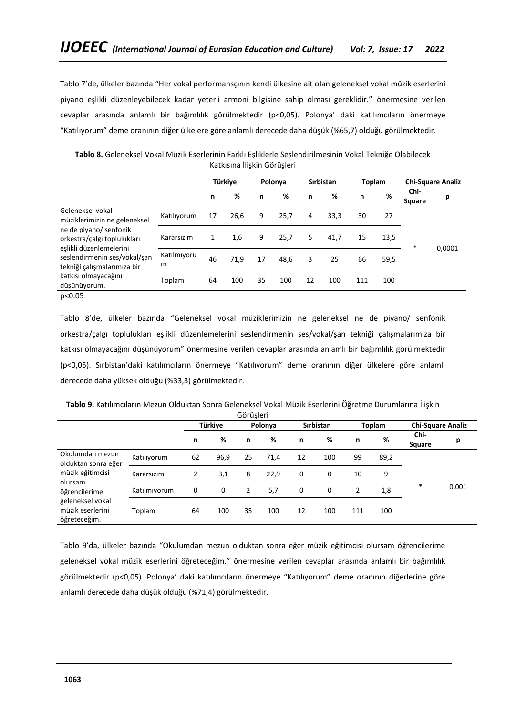Tablo 7'de, ülkeler bazında "Her vokal performansçının kendi ülkesine ait olan geleneksel vokal müzik eserlerini piyano eşlikli düzenleyebilecek kadar yeterli armoni bilgisine sahip olması gereklidir." önermesine verilen cevaplar arasında anlamlı bir bağımlılık görülmektedir (p<0,05). Polonya' daki katılımcıların önermeye "Katılıyorum" deme oranının diğer ülkelere göre anlamlı derecede daha düşük (%65,7) olduğu görülmektedir.

**Tablo 8.** Geleneksel Vokal Müzik Eserlerinin Farklı Eşliklerle Seslendirilmesinin Vokal Tekniğe Olabilecek Katkısına İlişkin Görüşleri

|                                                                                                                                                                                                                                             |                  | Türkiye |      |    | Polonya |    | <b>Sirbistan</b> | <b>Toplam</b> |      | <b>Chi-Square Analiz</b> |        |
|---------------------------------------------------------------------------------------------------------------------------------------------------------------------------------------------------------------------------------------------|------------------|---------|------|----|---------|----|------------------|---------------|------|--------------------------|--------|
|                                                                                                                                                                                                                                             |                  | n       | %    | n  | ℅       | n  | %                | n             | %    | Chi-<br>Square           | р      |
| Geleneksel vokal<br>müziklerimizin ne geleneksel<br>ne de piyano/ senfonik<br>orkestra/çalgı toplulukları<br>eşlikli düzenlemelerini<br>seslendirmenin ses/vokal/san<br>tekniği çalışmalarımıza bir<br>katkısı olmayacağını<br>düşünüyorum. | Katılıyorum      | 17      | 26,6 | 9  | 25,7    | 4  | 33,3             | 30            | 27   |                          |        |
|                                                                                                                                                                                                                                             | Kararsızım       | 1       | 1,6  | 9  | 25,7    | 5. | 41,7             | 15            | 13,5 | $\ast$                   | 0,0001 |
|                                                                                                                                                                                                                                             | Katılmıyoru<br>m | 46      | 71,9 | 17 | 48,6    | 3  | 25               | 66            | 59,5 |                          |        |
|                                                                                                                                                                                                                                             | Toplam           | 64      | 100  | 35 | 100     | 12 | 100              | 111           | 100  |                          |        |
| p<0.05                                                                                                                                                                                                                                      |                  |         |      |    |         |    |                  |               |      |                          |        |

Tablo 8'de, ülkeler bazında "Geleneksel vokal müziklerimizin ne geleneksel ne de piyano/ senfonik orkestra/çalgı toplulukları eşlikli düzenlemelerini seslendirmenin ses/vokal/şan tekniği çalışmalarımıza bir katkısı olmayacağını düşünüyorum" önermesine verilen cevaplar arasında anlamlı bir bağımlılık görülmektedir (p<0,05). Sırbistan'daki katılımcıların önermeye "Katılıyorum" deme oranının diğer ülkelere göre anlamlı derecede daha yüksek olduğu (%33,3) görülmektedir.

| Görüşleri                                                                                                                                      |              |    |         |                |         |    |           |                |               |                          |       |  |  |
|------------------------------------------------------------------------------------------------------------------------------------------------|--------------|----|---------|----------------|---------|----|-----------|----------------|---------------|--------------------------|-------|--|--|
|                                                                                                                                                |              |    | Türkiye |                | Polonya |    | Sırbistan |                | <b>Toplam</b> | <b>Chi-Square Analiz</b> |       |  |  |
|                                                                                                                                                |              | n  | %       | n              | %       | n  | %         | n              | %             | Chi-<br>Square           | р     |  |  |
| Okulumdan mezun<br>olduktan sonra eğer<br>müzik eğitimcisi<br>olursam<br>öğrencilerime<br>geleneksel vokal<br>müzik eserlerini<br>öğreteceğim. | Katılıyorum  | 62 | 96,9    | 25             | 71,4    | 12 | 100       | 99             | 89,2          |                          |       |  |  |
|                                                                                                                                                | Kararsızım   | 2  | 3,1     | 8              | 22.9    | 0  | 0         | 10             | 9             |                          |       |  |  |
|                                                                                                                                                | Katılmıyorum | 0  | 0       | $\overline{2}$ | 5,7     | 0  | 0         | $\overline{2}$ | 1,8           | $\ast$                   | 0,001 |  |  |
|                                                                                                                                                | Toplam       | 64 | 100     | 35             | 100     | 12 | 100       | 111            | 100           |                          |       |  |  |

**Tablo 9.** Katılımcıların Mezun Olduktan Sonra Geleneksel Vokal Müzik Eserlerini Öğretme Durumlarına İlişkin

Tablo 9'da, ülkeler bazında "Okulumdan mezun olduktan sonra eğer müzik eğitimcisi olursam öğrencilerime geleneksel vokal müzik eserlerini öğreteceğim." önermesine verilen cevaplar arasında anlamlı bir bağımlılık görülmektedir (p<0,05). Polonya' daki katılımcıların önermeye "Katılıyorum" deme oranının diğerlerine göre anlamlı derecede daha düşük olduğu (%71,4) görülmektedir.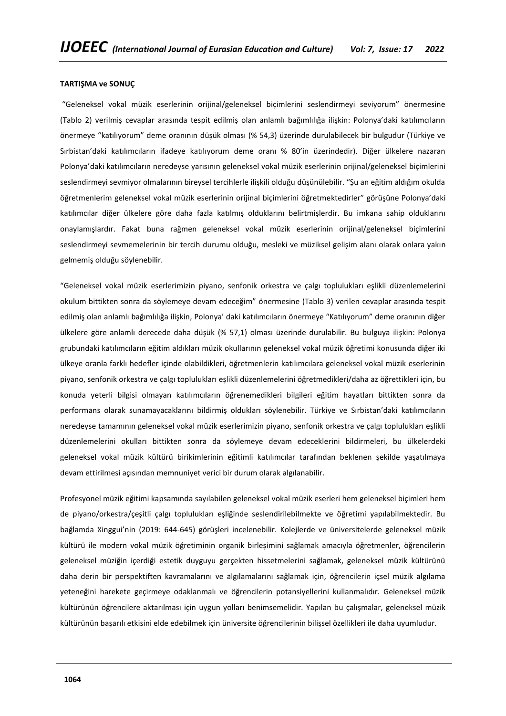#### **TARTIŞMA ve SONUÇ**

"Geleneksel vokal müzik eserlerinin orijinal/geleneksel biçimlerini seslendirmeyi seviyorum" önermesine (Tablo 2) verilmiş cevaplar arasında tespit edilmiş olan anlamlı bağımlılığa ilişkin: Polonya'daki katılımcıların önermeye "katılıyorum" deme oranının düşük olması (% 54,3) üzerinde durulabilecek bir bulgudur (Türkiye ve Sırbistan'daki katılımcıların ifadeye katılıyorum deme oranı % 80'in üzerindedir). Diğer ülkelere nazaran Polonya'daki katılımcıların neredeyse yarısının geleneksel vokal müzik eserlerinin orijinal/geleneksel biçimlerini seslendirmeyi sevmiyor olmalarının bireysel tercihlerle ilişkili olduğu düşünülebilir. "Şu an eğitim aldığım okulda öğretmenlerim geleneksel vokal müzik eserlerinin orijinal biçimlerini öğretmektedirler" görüşüne Polonya'daki katılımcılar diğer ülkelere göre daha fazla katılmış olduklarını belirtmişlerdir. Bu imkana sahip olduklarını onaylamışlardır. Fakat buna rağmen geleneksel vokal müzik eserlerinin orijinal/geleneksel biçimlerini seslendirmeyi sevmemelerinin bir tercih durumu olduğu, mesleki ve müziksel gelişim alanı olarak onlara yakın gelmemiş olduğu söylenebilir.

"Geleneksel vokal müzik eserlerimizin piyano, senfonik orkestra ve çalgı toplulukları eşlikli düzenlemelerini okulum bittikten sonra da söylemeye devam edeceğim" önermesine (Tablo 3) verilen cevaplar arasında tespit edilmiş olan anlamlı bağımlılığa ilişkin, Polonya' daki katılımcıların önermeye "Katılıyorum" deme oranının diğer ülkelere göre anlamlı derecede daha düşük (% 57,1) olması üzerinde durulabilir. Bu bulguya ilişkin: Polonya grubundaki katılımcıların eğitim aldıkları müzik okullarının geleneksel vokal müzik öğretimi konusunda diğer iki ülkeye oranla farklı hedefler içinde olabildikleri, öğretmenlerin katılımcılara geleneksel vokal müzik eserlerinin piyano, senfonik orkestra ve çalgı toplulukları eşlikli düzenlemelerini öğretmedikleri/daha az öğrettikleri için, bu konuda yeterli bilgisi olmayan katılımcıların öğrenemedikleri bilgileri eğitim hayatları bittikten sonra da performans olarak sunamayacaklarını bildirmiş oldukları söylenebilir. Türkiye ve Sırbistan'daki katılımcıların neredeyse tamamının geleneksel vokal müzik eserlerimizin piyano, senfonik orkestra ve çalgı toplulukları eşlikli düzenlemelerini okulları bittikten sonra da söylemeye devam edeceklerini bildirmeleri, bu ülkelerdeki geleneksel vokal müzik kültürü birikimlerinin eğitimli katılımcılar tarafından beklenen şekilde yaşatılmaya devam ettirilmesi açısından memnuniyet verici bir durum olarak algılanabilir.

Profesyonel müzik eğitimi kapsamında sayılabilen geleneksel vokal müzik eserleri hem geleneksel biçimleri hem de piyano/orkestra/çeşitli çalgı toplulukları eşliğinde seslendirilebilmekte ve öğretimi yapılabilmektedir. Bu bağlamda Xinggui'nin (2019: 644-645) görüşleri incelenebilir. Kolejlerde ve üniversitelerde geleneksel müzik kültürü ile modern vokal müzik öğretiminin organik birleşimini sağlamak amacıyla öğretmenler, öğrencilerin geleneksel müziğin içerdiği estetik duyguyu gerçekten hissetmelerini sağlamak, geleneksel müzik kültürünü daha derin bir perspektiften kavramalarını ve algılamalarını sağlamak için, öğrencilerin içsel müzik algılama yeteneğini harekete geçirmeye odaklanmalı ve öğrencilerin potansiyellerini kullanmalıdır. Geleneksel müzik kültürünün öğrencilere aktarılması için uygun yolları benimsemelidir. Yapılan bu çalışmalar, geleneksel müzik kültürünün başarılı etkisini elde edebilmek için üniversite öğrencilerinin bilişsel özellikleri ile daha uyumludur.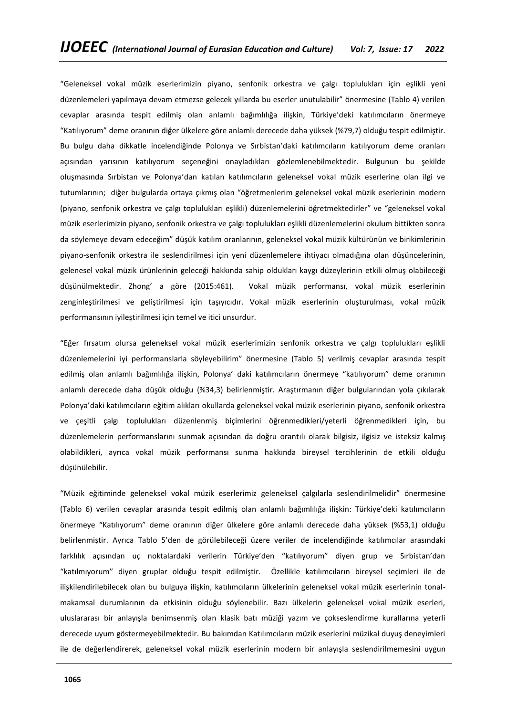"Geleneksel vokal müzik eserlerimizin piyano, senfonik orkestra ve çalgı toplulukları için eşlikli yeni düzenlemeleri yapılmaya devam etmezse gelecek yıllarda bu eserler unutulabilir" önermesine (Tablo 4) verilen cevaplar arasında tespit edilmiş olan anlamlı bağımlılığa ilişkin, Türkiye'deki katılımcıların önermeye "Katılıyorum" deme oranının diğer ülkelere göre anlamlı derecede daha yüksek (%79,7) olduğu tespit edilmiştir. Bu bulgu daha dikkatle incelendiğinde Polonya ve Sırbistan'daki katılımcıların katılıyorum deme oranları açısından yarısının katılıyorum seçeneğini onayladıkları gözlemlenebilmektedir. Bulgunun bu şekilde oluşmasında Sırbistan ve Polonya'dan katılan katılımcıların geleneksel vokal müzik eserlerine olan ilgi ve tutumlarının; diğer bulgularda ortaya çıkmış olan "öğretmenlerim geleneksel vokal müzik eserlerinin modern (piyano, senfonik orkestra ve çalgı toplulukları eşlikli) düzenlemelerini öğretmektedirler" ve "geleneksel vokal müzik eserlerimizin piyano, senfonik orkestra ve çalgı toplulukları eşlikli düzenlemelerini okulum bittikten sonra da söylemeye devam edeceğim" düşük katılım oranlarının, geleneksel vokal müzik kültürünün ve birikimlerinin piyano-senfonik orkestra ile seslendirilmesi için yeni düzenlemelere ihtiyacı olmadığına olan düşüncelerinin, gelenesel vokal müzik ürünlerinin geleceği hakkında sahip oldukları kaygı düzeylerinin etkili olmuş olabileceği düşünülmektedir. Zhong' a göre (2015:461). Vokal müzik performansı, vokal müzik eserlerinin zenginleştirilmesi ve geliştirilmesi için taşıyıcıdır. Vokal müzik eserlerinin oluşturulması, vokal müzik performansının iyileştirilmesi için temel ve itici unsurdur.

"Eğer fırsatım olursa geleneksel vokal müzik eserlerimizin senfonik orkestra ve çalgı toplulukları eşlikli düzenlemelerini iyi performanslarla söyleyebilirim" önermesine (Tablo 5) verilmiş cevaplar arasında tespit edilmiş olan anlamlı bağımlılığa ilişkin, Polonya' daki katılımcıların önermeye "katılıyorum" deme oranının anlamlı derecede daha düşük olduğu (%34,3) belirlenmiştir. Araştırmanın diğer bulgularından yola çıkılarak Polonya'daki katılımcıların eğitim alıkları okullarda geleneksel vokal müzik eserlerinin piyano, senfonik orkestra ve çeşitli çalgı toplulukları düzenlenmiş biçimlerini öğrenmedikleri/yeterli öğrenmedikleri için, bu düzenlemelerin performanslarını sunmak açısından da doğru orantılı olarak bilgisiz, ilgisiz ve isteksiz kalmış olabildikleri, ayrıca vokal müzik performansı sunma hakkında bireysel tercihlerinin de etkili olduğu düşünülebilir.

"Müzik eğitiminde geleneksel vokal müzik eserlerimiz geleneksel çalgılarla seslendirilmelidir" önermesine (Tablo 6) verilen cevaplar arasında tespit edilmiş olan anlamlı bağımlılığa ilişkin: Türkiye'deki katılımcıların önermeye "Katılıyorum" deme oranının diğer ülkelere göre anlamlı derecede daha yüksek (%53,1) olduğu belirlenmiştir. Ayrıca Tablo 5'den de görülebileceği üzere veriler de incelendiğinde katılımcılar arasındaki farklılık açısından uç noktalardaki verilerin Türkiye'den "katılıyorum" diyen grup ve Sırbistan'dan "katılmıyorum" diyen gruplar olduğu tespit edilmiştir. Özellikle katılımcıların bireysel seçimleri ile de ilişkilendirilebilecek olan bu bulguya ilişkin, katılımcıların ülkelerinin geleneksel vokal müzik eserlerinin tonalmakamsal durumlarının da etkisinin olduğu söylenebilir. Bazı ülkelerin geleneksel vokal müzik eserleri, uluslararası bir anlayışla benimsenmiş olan klasik batı müziği yazım ve çokseslendirme kurallarına yeterli derecede uyum göstermeyebilmektedir. Bu bakımdan Katılımcıların müzik eserlerini müzikal duyuş deneyimleri ile de değerlendirerek, geleneksel vokal müzik eserlerinin modern bir anlayışla seslendirilmemesini uygun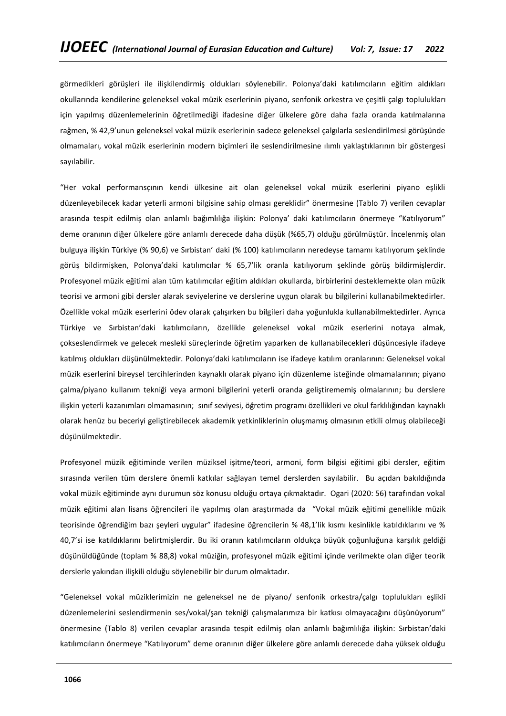görmedikleri görüşleri ile ilişkilendirmiş oldukları söylenebilir. Polonya'daki katılımcıların eğitim aldıkları okullarında kendilerine geleneksel vokal müzik eserlerinin piyano, senfonik orkestra ve çeşitli çalgı toplulukları için yapılmış düzenlemelerinin öğretilmediği ifadesine diğer ülkelere göre daha fazla oranda katılmalarına rağmen, % 42,9'unun geleneksel vokal müzik eserlerinin sadece geleneksel çalgılarla seslendirilmesi görüşünde olmamaları, vokal müzik eserlerinin modern biçimleri ile seslendirilmesine ılımlı yaklaştıklarının bir göstergesi sayılabilir.

"Her vokal performansçının kendi ülkesine ait olan geleneksel vokal müzik eserlerini piyano eşlikli düzenleyebilecek kadar yeterli armoni bilgisine sahip olması gereklidir" önermesine (Tablo 7) verilen cevaplar arasında tespit edilmiş olan anlamlı bağımlılığa ilişkin: Polonya' daki katılımcıların önermeye "Katılıyorum" deme oranının diğer ülkelere göre anlamlı derecede daha düşük (%65,7) olduğu görülmüştür. İncelenmiş olan bulguya ilişkin Türkiye (% 90,6) ve Sırbistan' daki (% 100) katılımcıların neredeyse tamamı katılıyorum şeklinde görüş bildirmişken, Polonya'daki katılımcılar % 65,7'lik oranla katılıyorum şeklinde görüş bildirmişlerdir. Profesyonel müzik eğitimi alan tüm katılımcılar eğitim aldıkları okullarda, birbirlerini desteklemekte olan müzik teorisi ve armoni gibi dersler alarak seviyelerine ve derslerine uygun olarak bu bilgilerini kullanabilmektedirler. Özellikle vokal müzik eserlerini ödev olarak çalışırken bu bilgileri daha yoğunlukla kullanabilmektedirler. Ayrıca Türkiye ve Sırbistan'daki katılımcıların, özellikle geleneksel vokal müzik eserlerini notaya almak, çokseslendirmek ve gelecek mesleki süreçlerinde öğretim yaparken de kullanabilecekleri düşüncesiyle ifadeye katılmış oldukları düşünülmektedir. Polonya'daki katılımcıların ise ifadeye katılım oranlarının: Geleneksel vokal müzik eserlerini bireysel tercihlerinden kaynaklı olarak piyano için düzenleme isteğinde olmamalarının; piyano çalma/piyano kullanım tekniği veya armoni bilgilerini yeterli oranda geliştirememiş olmalarının; bu derslere ilişkin yeterli kazanımları olmamasının; sınıf seviyesi, öğretim programı özellikleri ve okul farklılığından kaynaklı olarak henüz bu beceriyi geliştirebilecek akademik yetkinliklerinin oluşmamış olmasının etkili olmuş olabileceği düşünülmektedir.

Profesyonel müzik eğitiminde verilen müziksel işitme/teori, armoni, form bilgisi eğitimi gibi dersler, eğitim sırasında verilen tüm derslere önemli katkılar sağlayan temel derslerden sayılabilir. Bu açıdan bakıldığında vokal müzik eğitiminde aynı durumun söz konusu olduğu ortaya çıkmaktadır. Ogari (2020: 56) tarafından vokal müzik eğitimi alan lisans öğrencileri ile yapılmış olan araştırmada da "Vokal müzik eğitimi genellikle müzik teorisinde öğrendiğim bazı şeyleri uygular" ifadesine öğrencilerin % 48,1'lik kısmı kesinlikle katıldıklarını ve % 40,7'si ise katıldıklarını belirtmişlerdir. Bu iki oranın katılımcıların oldukça büyük çoğunluğuna karşılık geldiği düşünüldüğünde (toplam % 88,8) vokal müziğin, profesyonel müzik eğitimi içinde verilmekte olan diğer teorik derslerle yakından ilişkili olduğu söylenebilir bir durum olmaktadır.

"Geleneksel vokal müziklerimizin ne geleneksel ne de piyano/ senfonik orkestra/çalgı toplulukları eşlikli düzenlemelerini seslendirmenin ses/vokal/şan tekniği çalışmalarımıza bir katkısı olmayacağını düşünüyorum" önermesine (Tablo 8) verilen cevaplar arasında tespit edilmiş olan anlamlı bağımlılığa ilişkin: Sırbistan'daki katılımcıların önermeye "Katılıyorum" deme oranının diğer ülkelere göre anlamlı derecede daha yüksek olduğu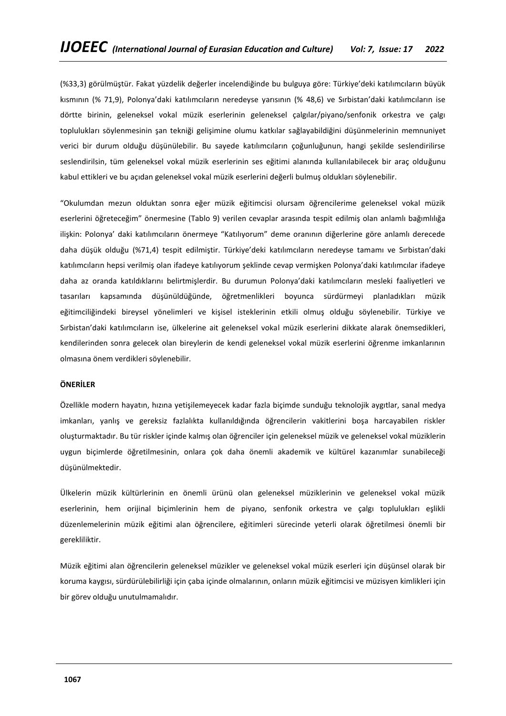(%33,3) görülmüştür. Fakat yüzdelik değerler incelendiğinde bu bulguya göre: Türkiye'deki katılımcıların büyük kısmının (% 71,9), Polonya'daki katılımcıların neredeyse yarısının (% 48,6) ve Sırbistan'daki katılımcıların ise dörtte birinin, geleneksel vokal müzik eserlerinin geleneksel çalgılar/piyano/senfonik orkestra ve çalgı toplulukları söylenmesinin şan tekniği gelişimine olumu katkılar sağlayabildiğini düşünmelerinin memnuniyet verici bir durum olduğu düşünülebilir. Bu sayede katılımcıların çoğunluğunun, hangi şekilde seslendirilirse seslendirilsin, tüm geleneksel vokal müzik eserlerinin ses eğitimi alanında kullanılabilecek bir araç olduğunu kabul ettikleri ve bu açıdan geleneksel vokal müzik eserlerini değerli bulmuş oldukları söylenebilir.

"Okulumdan mezun olduktan sonra eğer müzik eğitimcisi olursam öğrencilerime geleneksel vokal müzik eserlerini öğreteceğim" önermesine (Tablo 9) verilen cevaplar arasında tespit edilmiş olan anlamlı bağımlılığa ilişkin: Polonya' daki katılımcıların önermeye "Katılıyorum" deme oranının diğerlerine göre anlamlı derecede daha düşük olduğu (%71,4) tespit edilmiştir. Türkiye'deki katılımcıların neredeyse tamamı ve Sırbistan'daki katılımcıların hepsi verilmiş olan ifadeye katılıyorum şeklinde cevap vermişken Polonya'daki katılımcılar ifadeye daha az oranda katıldıklarını belirtmişlerdir. Bu durumun Polonya'daki katılımcıların mesleki faaliyetleri ve tasarıları kapsamında düşünüldüğünde, öğretmenlikleri boyunca sürdürmeyi planladıkları müzik eğitimciliğindeki bireysel yönelimleri ve kişisel isteklerinin etkili olmuş olduğu söylenebilir. Türkiye ve Sırbistan'daki katılımcıların ise, ülkelerine ait geleneksel vokal müzik eserlerini dikkate alarak önemsedikleri, kendilerinden sonra gelecek olan bireylerin de kendi geleneksel vokal müzik eserlerini öğrenme imkanlarının olmasına önem verdikleri söylenebilir.

### **ÖNERİLER**

Özellikle modern hayatın, hızına yetişilemeyecek kadar fazla biçimde sunduğu teknolojik aygıtlar, sanal medya imkanları, yanlış ve gereksiz fazlalıkta kullanıldığında öğrencilerin vakitlerini boşa harcayabilen riskler oluşturmaktadır. Bu tür riskler içinde kalmış olan öğrenciler için geleneksel müzik ve geleneksel vokal müziklerin uygun biçimlerde öğretilmesinin, onlara çok daha önemli akademik ve kültürel kazanımlar sunabileceği düşünülmektedir.

Ülkelerin müzik kültürlerinin en önemli ürünü olan geleneksel müziklerinin ve geleneksel vokal müzik eserlerinin, hem orijinal biçimlerinin hem de piyano, senfonik orkestra ve çalgı toplulukları eşlikli düzenlemelerinin müzik eğitimi alan öğrencilere, eğitimleri sürecinde yeterli olarak öğretilmesi önemli bir gerekliliktir.

Müzik eğitimi alan öğrencilerin geleneksel müzikler ve geleneksel vokal müzik eserleri için düşünsel olarak bir koruma kaygısı, sürdürülebilirliği için çaba içinde olmalarının, onların müzik eğitimcisi ve müzisyen kimlikleri için bir görev olduğu unutulmamalıdır.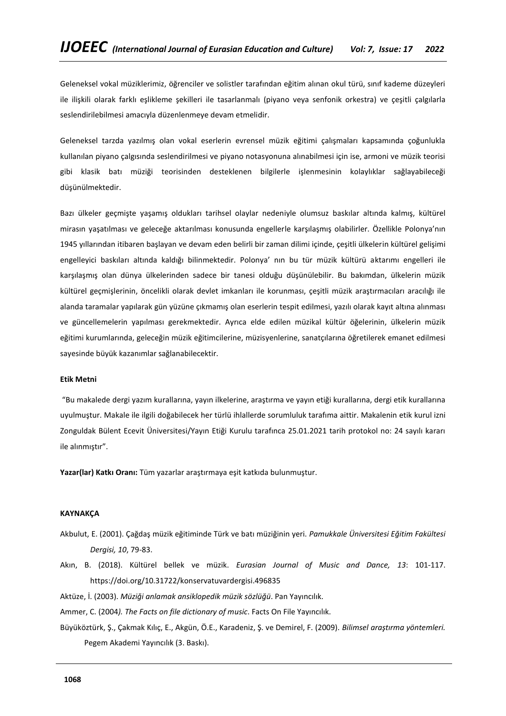Geleneksel vokal müziklerimiz, öğrenciler ve solistler tarafından eğitim alınan okul türü, sınıf kademe düzeyleri ile ilişkili olarak farklı eşlikleme şekilleri ile tasarlanmalı (piyano veya senfonik orkestra) ve çeşitli çalgılarla seslendirilebilmesi amacıyla düzenlenmeye devam etmelidir.

Geleneksel tarzda yazılmış olan vokal eserlerin evrensel müzik eğitimi çalışmaları kapsamında çoğunlukla kullanılan piyano çalgısında seslendirilmesi ve piyano notasyonuna alınabilmesi için ise, armoni ve müzik teorisi gibi klasik batı müziği teorisinden desteklenen bilgilerle işlenmesinin kolaylıklar sağlayabileceği düşünülmektedir.

Bazı ülkeler geçmişte yaşamış oldukları tarihsel olaylar nedeniyle olumsuz baskılar altında kalmış, kültürel mirasın yaşatılması ve geleceğe aktarılması konusunda engellerle karşılaşmış olabilirler. Özellikle Polonya'nın 1945 yıllarından itibaren başlayan ve devam eden belirli bir zaman dilimi içinde, çeşitli ülkelerin kültürel gelişimi engelleyici baskıları altında kaldığı bilinmektedir. Polonya' nın bu tür müzik kültürü aktarımı engelleri ile karşılaşmış olan dünya ülkelerinden sadece bir tanesi olduğu düşünülebilir. Bu bakımdan, ülkelerin müzik kültürel geçmişlerinin, öncelikli olarak devlet imkanları ile korunması, çeşitli müzik araştırmacıları aracılığı ile alanda taramalar yapılarak gün yüzüne çıkmamış olan eserlerin tespit edilmesi, yazılı olarak kayıt altına alınması ve güncellemelerin yapılması gerekmektedir. Ayrıca elde edilen müzikal kültür öğelerinin, ülkelerin müzik eğitimi kurumlarında, geleceğin müzik eğitimcilerine, müzisyenlerine, sanatçılarına öğretilerek emanet edilmesi sayesinde büyük kazanımlar sağlanabilecektir.

### **Etik Metni**

"Bu makalede dergi yazım kurallarına, yayın ilkelerine, araştırma ve yayın etiği kurallarına, dergi etik kurallarına uyulmuştur. Makale ile ilgili doğabilecek her türlü ihlallerde sorumluluk tarafıma aittir. Makalenin etik kurul izni Zonguldak Bülent Ecevit Üniversitesi/Yayın Etiği Kurulu tarafınca 25.01.2021 tarih protokol no: 24 sayılı kararı ile alınmıştır".

**Yazar(lar) Katkı Oranı:** Tüm yazarlar araştırmaya eşit katkıda bulunmuştur.

## **KAYNAKÇA**

- Akbulut, E. (2001). Çağdaş müzik eğitiminde Türk ve batı müziğinin yeri. *Pamukkale Üniversitesi Eğitim Fakültesi Dergisi, 10*, 79-83.
- Akın, B. (2018). Kültürel bellek ve müzik. *Eurasian Journal of Music and Dance, 13*: 101-117. <https://doi.org/10.31722/konservatuvardergisi.496835>
- Aktüze, İ. (2003). *Müziği anlamak ansiklopedik müzik sözlüğü*. Pan Yayıncılık.
- Ammer, C. (2004*). The Facts on file dictionary of music*. Facts On File Yayıncılık.
- Büyüköztürk, Ş., Çakmak Kılıç, E., Akgün, Ö.E., Karadeniz, Ş. ve Demirel, F. (2009). *Bilimsel araştırma yöntemleri.* Pegem Akademi Yayıncılık (3. Baskı).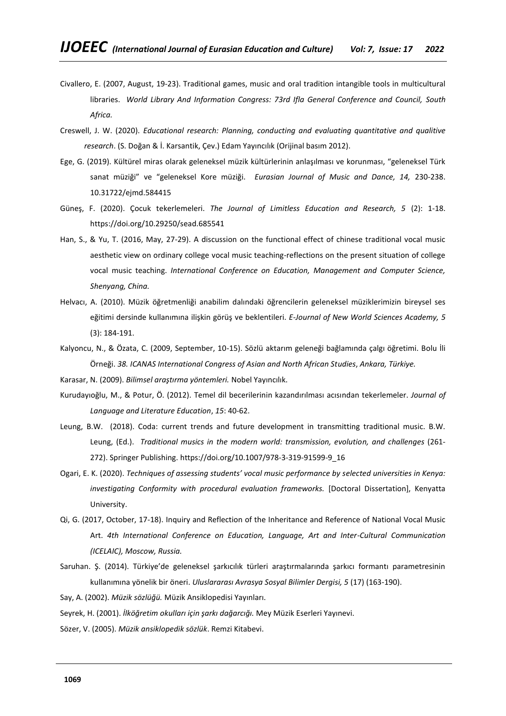- Civallero, E. (2007, August, 19-23). Traditional games, music and oral tradition intangible tools in multicultural libraries. *World Library And Information Congress: 73rd Ifla General Conference and Council, South Africa.*
- Creswell, J. W. (2020). *Educational research: Planning, conducting and evaluating quantitative and qualitive research*. (S. Doğan & İ. Karsantik, Çev.) Edam Yayıncılık (Orijinal basım 2012).
- Ege, G. (2019). Kültürel miras olarak geleneksel müzik kültürlerinin anlaşılması ve korunması, "geleneksel Türk sanat müziği" ve "geleneksel Kore müziği.*Eurasian Journal of Music and Dance, 14,* 230-238. 10.31722/ejmd.584415
- Güneş, F. (2020). Çocuk tekerlemeleri. *The Journal of Limitless Education and Research, 5* (2): 1-18. <https://doi.org/10.29250/sead.685541>
- Han, S., & Yu, T. (2016, May, 27-29). A discussion on the functional effect of chinese traditional vocal music aesthetic view on ordinary college vocal music teaching-reflections on the present situation of college vocal music teaching. *International Conference on Education, Management and Computer Science, Shenyang, China.*
- Helvacı, A. (2010). Müzik öğretmenliği anabilim dalındaki öğrencilerin geleneksel müziklerimizin bireysel ses eğitimi dersinde kullanımına ilişkin görüş ve beklentileri. *E-Journal of New World Sciences Academy, 5* (3): 184-191.
- Kalyoncu, N., & Özata, C. (2009, September, 10-15). Sözlü aktarım geleneği bağlamında çalgı öğretimi. Bolu İli Örneği. *38. ICANAS International Congress of Asian and North African Studies*, *Ankara, Türkiye.*
- Karasar, N. (2009). *Bilimsel araştırma yöntemleri.* Nobel Yayıncılık.
- Kurudayıoğlu, M., & Potur, Ö. (2012). Temel dil becerilerinin kazandırılması acısından tekerlemeler. *Journal of Language and Literature Education*, *15*: 40-62.
- Leung, B.W. (2018). Coda: current trends and future development in transmitting traditional music. B.W. Leung, (Ed.). *Traditional musics in the modern world: transmission, evolution, and challenges* (261- 272). Springer Publishing. [https://doi.org/10.1007/978-3-319-91599-9\\_16](https://doi.org/10.1007/978-3-319-91599-9_16)
- Ogari, E. K. (2020). *Techniques of assessing students' vocal music performance by selected universities in Kenya:*  investigating Conformity with procedural evaluation frameworks. [Doctoral Dissertation], Kenyatta University.
- Qi, G. (2017, October, 17-18). Inquiry and Reflection of the Inheritance and Reference of National Vocal Music Art. *4th International Conference on Education, Language, Art and Inter-Cultural Communication (ICELAIC), Moscow, Russia.*
- Saruhan. Ş. (2014). Türkiye'de geleneksel şarkıcılık türleri araştırmalarında şarkıcı formantı parametresinin kullanımına yönelik bir öneri. *Uluslararası Avrasya Sosyal Bilimler Dergisi, 5* (17) (163-190).
- Say, A. (2002). *Müzik sözlüğü.* Müzik Ansiklopedisi Yayınları.
- Seyrek, H. (2001). *İlköğretim okulları için şarkı dağarcığı.* Mey Müzik Eserleri Yayınevi.
- Sözer, V. (2005). *Müzik ansiklopedik sözlük*. Remzi Kitabevi.